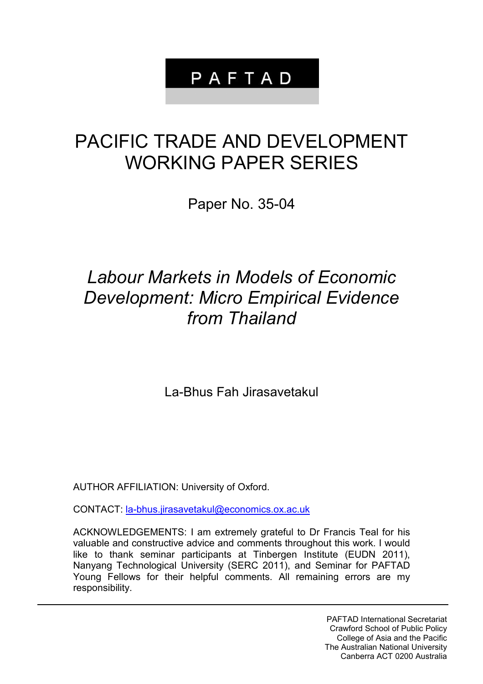## PAFTAD

# PACIFIC TRADE AND DEVELOPMENT WORKING PAPER SERIES

Paper No. 35-04

### *Labour Markets in Models of Economic Development: Micro Empirical Evidence from Thailand*

La-Bhus Fah Jirasavetakul

AUTHOR AFFILIATION: University of Oxford.

CONTACT: [la-bhus.jirasavetakul@economics.ox.ac.uk](mailto:la-bhus.jirasavetakul@economics.ox.ac.uk) 

ACKNOWLEDGEMENTS: I am extremely grateful to Dr Francis Teal for his valuable and constructive advice and comments throughout this work. I would like to thank seminar participants at Tinbergen Institute (EUDN 2011), Nanyang Technological University (SERC 2011), and Seminar for PAFTAD Young Fellows for their helpful comments. All remaining errors are my responsibility.

> PAFTAD International Secretariat Crawford School of Public Policy College of Asia and the Pacific The Australian National University Canberra ACT 0200 Australia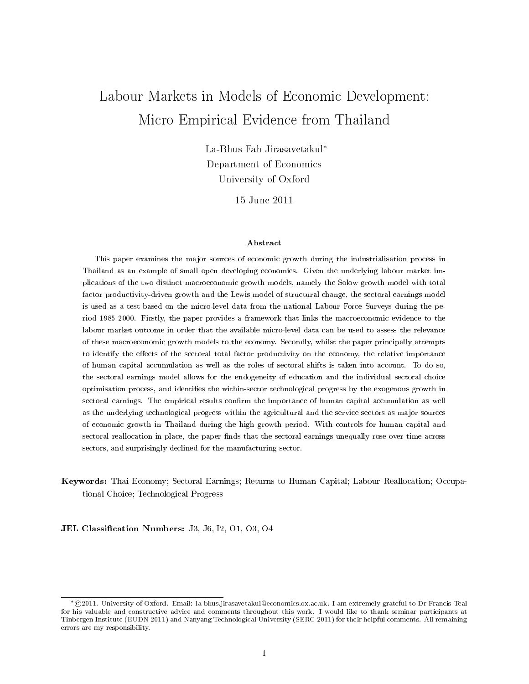### Labour Markets in Models of Economic Development: Micro Empirical Evidence from Thailand

La-Bhus Fah Jirasavetakul<sup>∗</sup> Department of Economics University of Oxford

15 June 2011

#### Abstract

This paper examines the major sources of economic growth during the industrialisation process in Thailand as an example of small open developing economies. Given the underlying labour market implications of the two distinct macroeconomic growth models, namely the Solow growth model with total factor productivity-driven growth and the Lewis model of structural change, the sectoral earnings model is used as a test based on the micro-level data from the national Labour Force Surveys during the period 1985-2000. Firstly, the paper provides a framework that links the macroeconomic evidence to the labour market outcome in order that the available micro-level data can be used to assess the relevance of these macroeconomic growth models to the economy. Secondly, whilst the paper principally attempts to identify the effects of the sectoral total factor productivity on the economy, the relative importance of human capital accumulation as well as the roles of sectoral shifts is taken into account. To do so, the sectoral earnings model allows for the endogeneity of education and the individual sectoral choice optimisation process, and identifies the within-sector technological progress by the exogenous growth in sectoral earnings. The empirical results confirm the importance of human capital accumulation as well as the underlying technological progress within the agricultural and the service sectors as major sources of economic growth in Thailand during the high growth period. With controls for human capital and sectoral reallocation in place, the paper finds that the sectoral earnings unequally rose over time across sectors, and surprisingly declined for the manufacturing sector.

#### Keywords: Thai Economy; Sectoral Earnings; Returns to Human Capital; Labour Reallocation; Occupational Choice; Technological Progress

JEL Classification Numbers: J3, J6, I2, O1, O3, O4

<sup>∗</sup> c 2011. University of Oxford. Email: la-bhus.jirasavetakul@economics.ox.ac.uk. I am extremely grateful to Dr Francis Teal for his valuable and constructive advice and comments throughout this work. I would like to thank seminar participants at Tinbergen Institute (EUDN 2011) and Nanyang Technological University (SERC 2011) for their helpful comments. All remaining errors are my responsibility.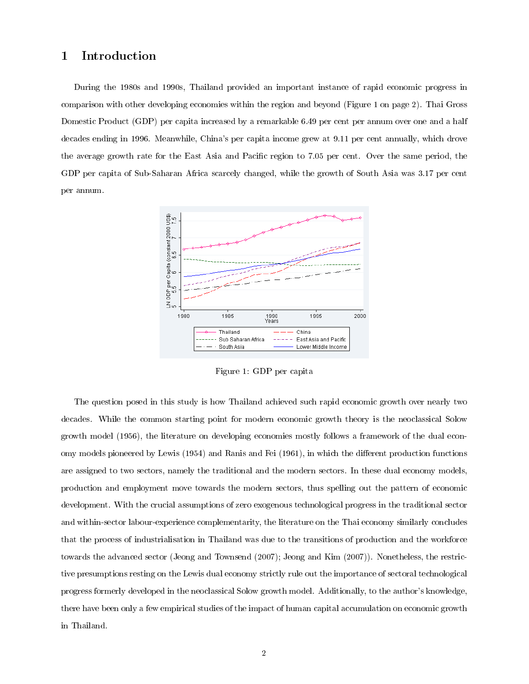#### 1 Introduction

During the 1980s and 1990s, Thailand provided an important instance of rapid economic progress in comparison with other developing economies within the region and beyond (Figure 1 on page 2). Thai Gross Domestic Product (GDP) per capita increased by a remarkable 6.49 per cent per annum over one and a half decades ending in 1996. Meanwhile, China's per capita income grew at 9.11 per cent annually, which drove the average growth rate for the East Asia and Pacific region to 7.05 per cent. Over the same period, the GDP per capita of Sub-Saharan Africa scarcely changed, while the growth of South Asia was 3.17 per cent per annum.



Figure 1: GDP per capita

The question posed in this study is how Thailand achieved such rapid economic growth over nearly two decades. While the common starting point for modern economic growth theory is the neoclassical Solow growth model (1956), the literature on developing economies mostly follows a framework of the dual economy models pioneered by Lewis (1954) and Ranis and Fei (1961), in which the different production functions are assigned to two sectors, namely the traditional and the modern sectors. In these dual economy models, production and employment move towards the modern sectors, thus spelling out the pattern of economic development. With the crucial assumptions of zero exogenous technological progress in the traditional sector and within-sector labour-experience complementarity, the literature on the Thai economy similarly concludes that the process of industrialisation in Thailand was due to the transitions of production and the workforce towards the advanced sector (Jeong and Townsend (2007); Jeong and Kim (2007)). Nonetheless, the restrictive presumptions resting on the Lewis dual economy strictly rule out the importance of sectoral technological progress formerly developed in the neoclassical Solow growth model. Additionally, to the author's knowledge, there have been only a few empirical studies of the impact of human capital accumulation on economic growth in Thailand.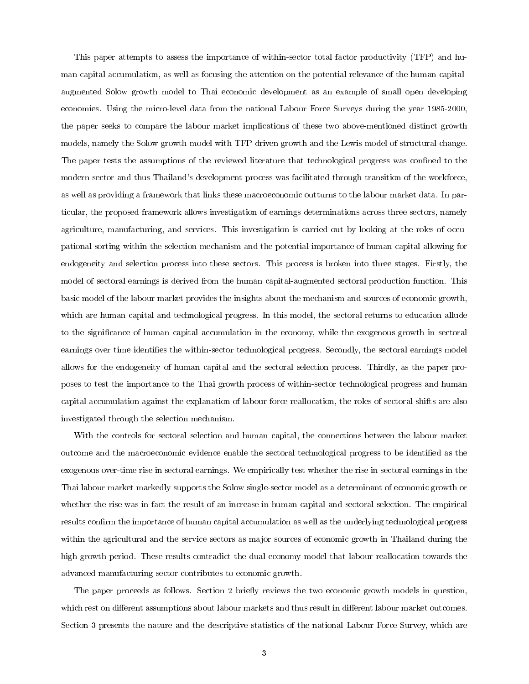This paper attempts to assess the importance of within-sector total factor productivity (TFP) and human capital accumulation, as well as focusing the attention on the potential relevance of the human capitalaugmented Solow growth model to Thai economic development as an example of small open developing economies. Using the micro-level data from the national Labour Force Surveys during the year 1985-2000, the paper seeks to compare the labour market implications of these two above-mentioned distinct growth models, namely the Solow growth model with TFP driven growth and the Lewis model of structural change. The paper tests the assumptions of the reviewed literature that technological progress was confined to the modern sector and thus Thailand's development process was facilitated through transition of the workforce, as well as providing a framework that links these macroeconomic outturns to the labour market data. In particular, the proposed framework allows investigation of earnings determinations across three sectors, namely agriculture, manufacturing, and services. This investigation is carried out by looking at the roles of occupational sorting within the selection mechanism and the potential importance of human capital allowing for endogeneity and selection process into these sectors. This process is broken into three stages. Firstly, the model of sectoral earnings is derived from the human capital-augmented sectoral production function. This basic model of the labour market provides the insights about the mechanism and sources of economic growth, which are human capital and technological progress. In this model, the sectoral returns to education allude to the signicance of human capital accumulation in the economy, while the exogenous growth in sectoral earnings over time identifies the within-sector technological progress. Secondly, the sectoral earnings model allows for the endogeneity of human capital and the sectoral selection process. Thirdly, as the paper proposes to test the importance to the Thai growth process of within-sector technological progress and human capital accumulation against the explanation of labour force reallocation, the roles of sectoral shifts are also investigated through the selection mechanism.

With the controls for sectoral selection and human capital, the connections between the labour market outcome and the macroeconomic evidence enable the sectoral technological progress to be identied as the exogenous over-time rise in sectoral earnings. We empirically test whether the rise in sectoral earnings in the Thai labour market markedly supports the Solow single-sector model as a determinant of economic growth or whether the rise was in fact the result of an increase in human capital and sectoral selection. The empirical results confirm the importance of human capital accumulation as well as the underlying technological progress within the agricultural and the service sectors as major sources of economic growth in Thailand during the high growth period. These results contradict the dual economy model that labour reallocation towards the advanced manufacturing sector contributes to economic growth.

The paper proceeds as follows. Section 2 briefly reviews the two economic growth models in question, which rest on different assumptions about labour markets and thus result in different labour market outcomes. Section 3 presents the nature and the descriptive statistics of the national Labour Force Survey, which are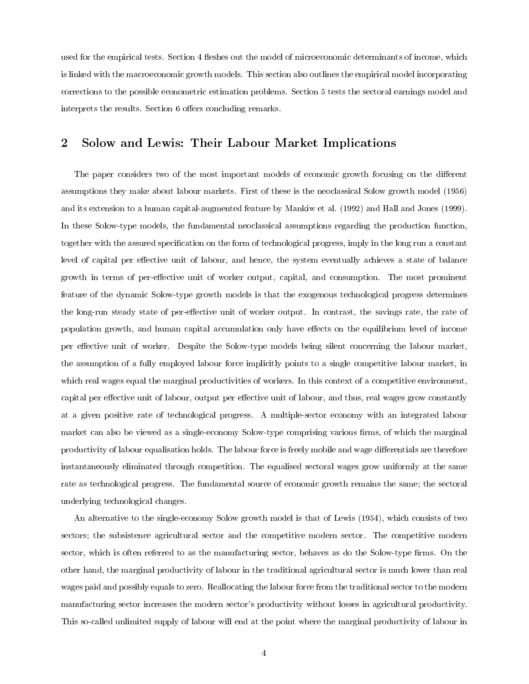used for the empirical tests. Section 4 fleshes out the model of microeconomic determinants of income, which is linked with the macroeconomic growth models. This section also outlines the empirical model incorporating corrections to the possible econometric estimation problems. Section 5 tests the sectoral earnings model and interprets the results. Section 6 offers concluding remarks.

#### 2 Solow and Lewis: Their Labour Market Implications

The paper considers two of the most important models of economic growth focusing on the different assumptions they make about labour markets. First of these is the neoclassical Solow growth model (1956) and its extension to a human capital-augmented feature by Mankiw et al. (1992) and Hall and Jones (1999). In these Solow-type models, the fundamental neoclassical assumptions regarding the production function, together with the assured specification on the form of technological progress, imply in the long run a constant level of capital per effective unit of labour, and hence, the system eventually achieves a state of balance growth in terms of per-effective unit of worker output, capital, and consumption. The most prominent feature of the dynamic Solow-type growth models is that the exogenous technological progress determines the long-run steady state of per-effective unit of worker output. In contrast, the savings rate, the rate of population growth, and human capital accumulation only have effects on the equilibrium level of income per effective unit of worker. Despite the Solow-type models being silent concerning the labour market, the assumption of a fully employed labour force implicitly points to a single competitive labour market, in which real wages equal the marginal productivities of workers. In this context of a competitive environment, capital per effective unit of labour, output per effective unit of labour, and thus, real wages grow constantly at a given positive rate of technological progress. A multiple-sector economy with an integrated labour market can also be viewed as a single-economy Solow-type comprising various firms, of which the marginal productivity of labour equalisation holds. The labour force is freely mobile and wage differentials are therefore instantaneously eliminated through competition. The equalised sectoral wages grow uniformly at the same rate as technological progress. The fundamental source of economic growth remains the same; the sectoral underlying technological changes.

An alternative to the single-economy Solow growth model is that of Lewis (1954), which consists of two sectors; the subsistence agricultural sector and the competitive modern sector. The competitive modern sector, which is often referred to as the manufacturing sector, behaves as do the Solow-type firms. On the other hand, the marginal productivity of labour in the traditional agricultural sector is much lower than real wages paid and possibly equals to zero. Reallocating the labour force from the traditional sector to the modern manufacturing sector increases the modern sector's productivity without losses in agricultural productivity. This so-called unlimited supply of labour will end at the point where the marginal productivity of labour in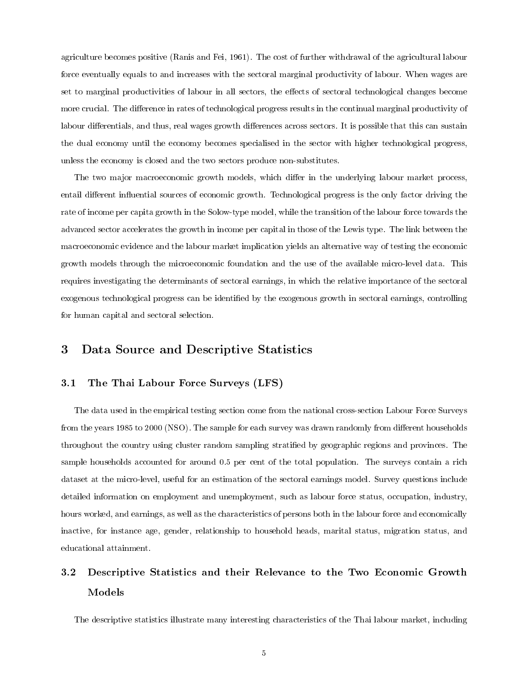agriculture becomes positive (Ranis and Fei, 1961). The cost of further withdrawal of the agricultural labour force eventually equals to and increases with the sectoral marginal productivity of labour. When wages are set to marginal productivities of labour in all sectors, the effects of sectoral technological changes become more crucial. The difference in rates of technological progress results in the continual marginal productivity of labour differentials, and thus, real wages growth differences across sectors. It is possible that this can sustain the dual economy until the economy becomes specialised in the sector with higher technological progress, unless the economy is closed and the two sectors produce non-substitutes.

The two major macroeconomic growth models, which differ in the underlying labour market process, entail different influential sources of economic growth. Technological progress is the only factor driving the rate of income per capita growth in the Solow-type model, while the transition of the labour force towards the advanced sector accelerates the growth in income per capital in those of the Lewis type. The link between the macroeconomic evidence and the labour market implication yields an alternative way of testing the economic growth models through the microeconomic foundation and the use of the available micro-level data. This requires investigating the determinants of sectoral earnings, in which the relative importance of the sectoral exogenous technological progress can be identified by the exogenous growth in sectoral earnings, controlling for human capital and sectoral selection.

#### 3 Data Source and Descriptive Statistics

#### 3.1 The Thai Labour Force Surveys (LFS)

The data used in the empirical testing section come from the national cross-section Labour Force Surveys from the years 1985 to 2000 (NSO). The sample for each survey was drawn randomly from different households throughout the country using cluster random sampling stratified by geographic regions and provinces. The sample households accounted for around 0.5 per cent of the total population. The surveys contain a rich dataset at the micro-level, useful for an estimation of the sectoral earnings model. Survey questions include detailed information on employment and unemployment, such as labour force status, occupation, industry, hours worked, and earnings, as well as the characteristics of persons both in the labour force and economically inactive, for instance age, gender, relationship to household heads, marital status, migration status, and educational attainment.

### 3.2 Descriptive Statistics and their Relevance to the Two Economic Growth Models

The descriptive statistics illustrate many interesting characteristics of the Thai labour market, including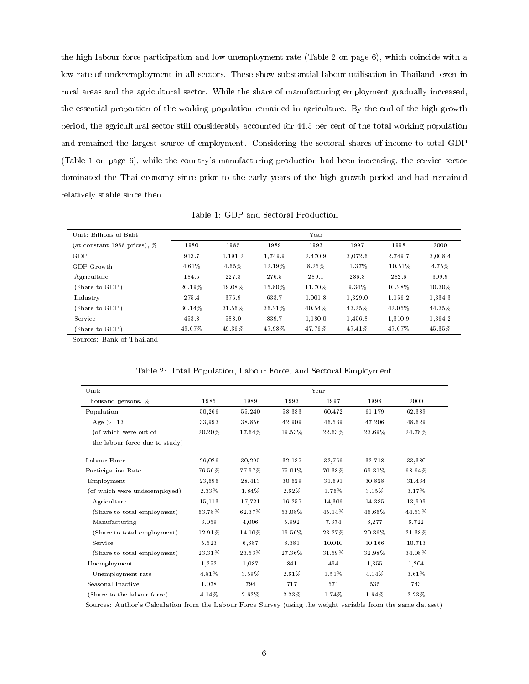the high labour force participation and low unemployment rate (Table 2 on page 6), which coincide with a low rate of underemployment in all sectors. These show substantial labour utilisation in Thailand, even in rural areas and the agricultural sector. While the share of manufacturing employment gradually increased, the essential proportion of the working population remained in agriculture. By the end of the high growth period, the agricultural sector still considerably accounted for 44.5 per cent of the total working population and remained the largest source of employment. Considering the sectoral shares of income to total GDP (Table 1 on page 6), while the country's manufacturing production had been increasing, the service sector dominated the Thai economy since prior to the early years of the high growth period and had remained relatively stable since then.

Table 1: GDP and Sectoral Production

| Unit: Billions of Baht       |           |         |         | Year     |           |            |           |
|------------------------------|-----------|---------|---------|----------|-----------|------------|-----------|
| (at constant 1988 prices), % | 1980      | 1985    | 1989    | 1993     | 1997      | 1998       | 2000      |
| GDP                          | 913.7     | 1,191.2 | 1.749.9 | 2,470.9  | 3.072.6   | 2,749.7    | 3,008.4   |
| GDP Growth                   | $4.61\%$  | 4.65%   | 12.19%  | $8.25\%$ | $-1.37\%$ | $-10.51\%$ | 4.75%     |
| Agriculture                  | 184.5     | 227.3   | 276.5   | 289.1    | 286.8     | 282.6      | 309.9     |
| Share to GDP)                | 20.19%    | 19.08%  | 15.80%  | 11.70%   | $9.34\%$  | 10.28%     | $10.30\%$ |
| Industry                     | 275.4     | 375.9   | 633.7   | 1.001.8  | 1.329.0   | 1.156.2    | 1,334.3   |
| (Share to GDP)               | $30.14\%$ | 31.56%  | 36.21%  | 40.54%   | 43.25%    | 42.05%     | 44.35%    |
| Service                      | 453.8     | 588.0   | 839.7   | 1.180.0  | 1.456.8   | 1.310.9    | 1,364.2   |
| Share to GDP)                | 49.67%    | 49.36%  | 47.98%  | 47.76%   | 47.41%    | 47.67%     | 45.35%    |

Sources: Bank of Thailand

| Unit:                          |        |        |        | Year   |        |        |  |
|--------------------------------|--------|--------|--------|--------|--------|--------|--|
| Thousand persons, %            | 1985   | 1989   | 1993   | 1997   | 1998   | 2000   |  |
| Population                     | 50,266 | 55,240 | 58,383 | 60,472 | 61,179 | 62,389 |  |
| Age $>=13$                     | 33,993 | 38,856 | 42,909 | 46,539 | 47,206 | 48,629 |  |
| (of which were out of          | 20.20% | 17.64% | 19.53% | 22.63% | 23.69% | 24.78% |  |
| the labour force due to study) |        |        |        |        |        |        |  |
| Labour Force                   | 26,026 | 30,295 | 32,187 | 32,756 | 32,718 | 33,380 |  |
| Participation Rate             | 76.56% | 77.97% | 75.01% | 70.38% | 69.31% | 68.64% |  |
| Employment                     | 23,696 | 28,413 | 30,629 | 31,691 | 30,828 | 31,434 |  |
| (of which were underemployed)  | 2.33%  | 1.84%  | 2.62%  | 1.76%  | 3.15%  | 3.17%  |  |
| Agriculture                    | 15,113 | 17,721 | 16,257 | 14,306 | 14,385 | 13,999 |  |
| (Share to total employment)    | 63.78% | 62.37% | 53.08% | 45.14% | 46.66% | 44.53% |  |
| Manufacturing                  | 3,059  | 4,006  | 5,992  | 7,374  | 6,277  | 6,722  |  |
| (Share to total employment)    | 12.91% | 14.10% | 19.56% | 23.27% | 20.36% | 21.38% |  |
| Service                        | 5,523  | 6,687  | 8,381  | 10,010 | 10,166 | 10,713 |  |
| (Share to total employment)    | 23.31% | 23.53% | 27.36% | 31.59% | 32.98% | 34.08% |  |
| Unemployment                   | 1,252  | 1,087  | 841    | 494    | 1,355  | 1,204  |  |
| Unemployment rate              | 4.81%  | 3.59%  | 2.61%  | 1.51%  | 4.14%  | 3.61%  |  |
| Seasonal Inactive              | 1,078  | 794    | 717    | 571    | 535    | 743    |  |
| (Share to the labour force)    | 4.14%  | 2.62%  | 2.23%  | 1.74%  | 1.64%  | 2.23%  |  |

Table 2: Total Population, Labour Force, and Sectoral Employment

Sources: Author's Calculation from the Labour Force Survey (using the weight variable from the same dataset)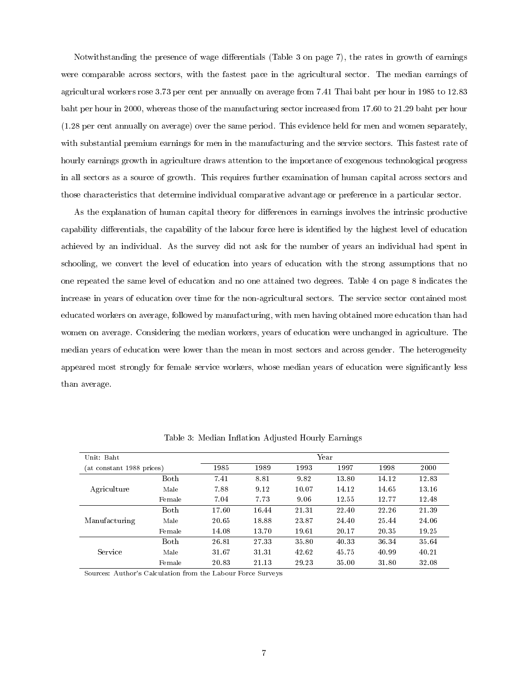Notwithstanding the presence of wage differentials (Table 3 on page 7), the rates in growth of earnings were comparable across sectors, with the fastest pace in the agricultural sector. The median earnings of agricultural workers rose 3.73 per cent per annually on average from 7.41 Thai baht per hour in 1985 to 12.83 baht per hour in 2000, whereas those of the manufacturing sector increased from 17.60 to 21.29 baht per hour (1.28 per cent annually on average) over the same period. This evidence held for men and women separately, with substantial premium earnings for men in the manufacturing and the service sectors. This fastest rate of hourly earnings growth in agriculture draws attention to the importance of exogenous technological progress in all sectors as a source of growth. This requires further examination of human capital across sectors and those characteristics that determine individual comparative advantage or preference in a particular sector.

As the explanation of human capital theory for differences in earnings involves the intrinsic productive capability differentials, the capability of the labour force here is identified by the highest level of education achieved by an individual. As the survey did not ask for the number of years an individual had spent in schooling, we convert the level of education into years of education with the strong assumptions that no one repeated the same level of education and no one attained two degrees. Table 4 on page 8 indicates the increase in years of education over time for the non-agricultural sectors. The service sector contained most educated workers on average, followed by manufacturing, with men having obtained more education than had women on average. Considering the median workers, years of education were unchanged in agriculture. The median years of education were lower than the mean in most sectors and across gender. The heterogeneity appeared most strongly for female service workers, whose median years of education were signicantly less than average.

| Unit: Baht                |             | Year  |       |       |       |       |       |  |
|---------------------------|-------------|-------|-------|-------|-------|-------|-------|--|
| (at constant 1988 prices) |             | 1985  | 1989  | 1993  | 1997  | 1998  | 2000  |  |
|                           | <b>Both</b> | 7.41  | 8.81  | 9.82  | 13.80 | 14.12 | 12.83 |  |
| Agriculture               | Male        | 7.88  | 9.12  | 10.07 | 14.12 | 14.65 | 13.16 |  |
|                           | Female      | 7.04  | 7.73  | 9.06  | 12.55 | 12.77 | 12.48 |  |
|                           | <b>Both</b> | 17.60 | 16.44 | 21.31 | 22.40 | 22.26 | 21.39 |  |
| Manufacturing             | Male        | 20.65 | 18.88 | 23.87 | 24.40 | 25.44 | 24.06 |  |
|                           | Female      | 14.08 | 13.70 | 19.61 | 20.17 | 20.35 | 19.25 |  |
| <b>Service</b>            | <b>Both</b> | 26.81 | 27.33 | 35.80 | 40.33 | 36.34 | 35.64 |  |
|                           | Male        | 31.67 | 31.31 | 42.62 | 45.75 | 40.99 | 40.21 |  |
|                           | Female      | 20.83 | 21.13 | 29.23 | 35.00 | 31.80 | 32.08 |  |

Table 3: Median Inflation Adjusted Hourly Earnings

Sources: Author's Calculation from the Labour Force Surveys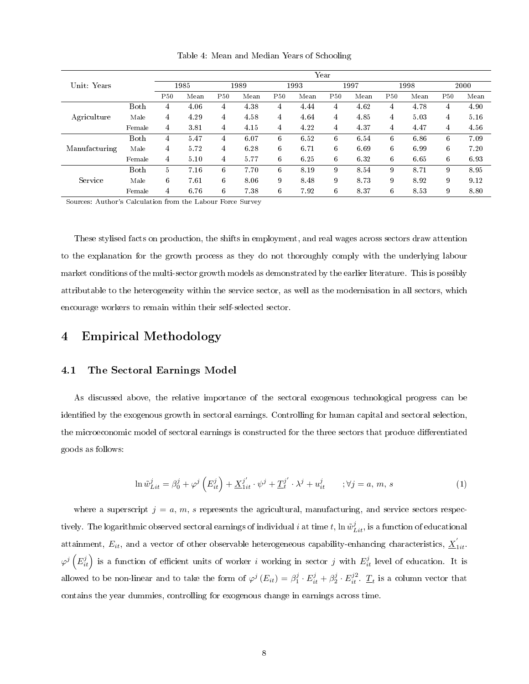|               |              |                 |      |                 |      |            |      | Year |      |                 |      |                 |      |
|---------------|--------------|-----------------|------|-----------------|------|------------|------|------|------|-----------------|------|-----------------|------|
| Unit: Years   |              |                 | 1985 |                 | 1989 |            | 1993 |      | 1997 |                 | 1998 |                 | 2000 |
|               |              | P <sub>50</sub> | Mean | P <sub>50</sub> | Mean | <b>P50</b> | Mean | P50  | Mean | P <sub>50</sub> | Mean | P <sub>50</sub> | Mean |
|               | Both         | 4               | 4.06 | 4               | 4.38 | 4          | 4.44 | 4    | 4.62 | 4               | 4.78 | 4               | 4.90 |
| Agriculture   | Male         | 4               | 4.29 | 4               | 4.58 | 4          | 4.64 | 4    | 4.85 | 4               | 5.03 | $\overline{4}$  | 5.16 |
|               | Female       | 4               | 3.81 | 4               | 4.15 | 4          | 4.22 | 4    | 4.37 | 4               | 4.47 | 4               | 4.56 |
|               | Both         | 4               | 5.47 | 4               | 6.07 | 6          | 6.52 | 6    | 6.54 | 6               | 6.86 | 6               | 7.09 |
| Manufacturing | Male         | 4               | 5.72 | 4               | 6.28 | 6          | 6.71 | 6    | 6.69 | 6               | 6.99 | 6               | 7.20 |
|               | Female       | 4               | 5.10 | 4               | 5.77 | 6          | 6.25 | 6    | 6.32 | 6               | 6.65 | 6               | 6.93 |
|               | <b>B</b> oth | 5               | 7.16 | 6               | 7.70 | 6          | 8.19 | 9    | 8.54 | 9               | 8.71 | 9               | 8.95 |
| Service       | Male         | 6               | 7.61 | 6               | 8.06 | 9          | 8.48 | 9    | 8.73 | 9               | 8.92 | 9               | 9.12 |
|               | Female       | 4               | 6.76 | 6               | 7.38 | 6          | 7.92 | 6    | 8.37 | 6               | 8.53 | 9               | 8.80 |

Table 4: Mean and Median Years of Schooling

Sources: Author's Calculation from the Labour Force Survey

These stylised facts on production, the shifts in employment, and real wages across sectors draw attention to the explanation for the growth process as they do not thoroughly comply with the underlying labour market conditions of the multi-sector growth models as demonstrated by the earlier literature. This is possibly attributable to the heterogeneity within the service sector, as well as the modernisation in all sectors, which encourage workers to remain within their self-selected sector.

#### 4 Empirical Methodology

#### 4.1 The Sectoral Earnings Model

As discussed above, the relative importance of the sectoral exogenous technological progress can be identified by the exogenous growth in sectoral earnings. Controlling for human capital and sectoral selection, the microeconomic model of sectoral earnings is constructed for the three sectors that produce differentiated goods as follows:

$$
\ln \tilde{w}_{Lit}^j = \beta_0^j + \varphi^j \left( E_{it}^j \right) + \underline{X}_{1it}^{j'} \cdot \psi^j + \underline{T}_t^{j'} \cdot \lambda^j + u_{it}^j \qquad ; \forall j = a, m, s
$$
\n(1)

where a superscript  $j = a, m, s$  represents the agricultural, manufacturing, and service sectors respectively. The logarithmic observed sectoral earnings of individual  $i$  at time  $t,$  ln  $\tilde{w}_{Lit}^j,$  is a function of educational attainment,  $E_{it}$ , and a vector of other observable heterogeneous capability-enhancing characteristics,  $\underline{X}_{1it}'$ .  $\varphi^j\left(E^j_{it}\right)$  is a function of efficient units of worker i working in sector j with  $E^j_{it}$  level of education. It is allowed to be non-linear and to take the form of  $\varphi^j(E_{it}) = \beta_1^j \cdot E_{it}^j + \beta_2^j \cdot E_{it}^{j2} \cdot \underline{T}_t$  is a column vector that contains the year dummies, controlling for exogenous change in earnings across time.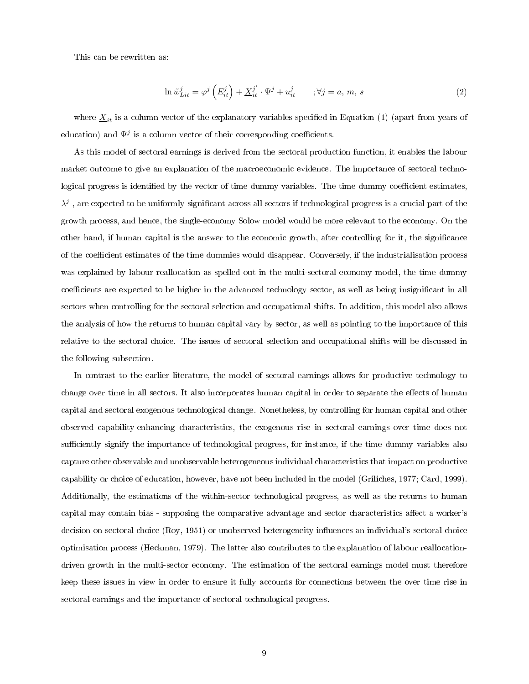This can be rewritten as:

$$
\ln \tilde{w}_{Lit}^j = \varphi^j \left( E_{it}^j \right) + \underline{X}_{it}^{j'} \cdot \Psi^j + u_{it}^j \qquad ; \forall j = a, m, s
$$
 (2)

where  $\underline{X}_{it}$  is a column vector of the explanatory variables specified in Equation (1) (apart from years of education) and  $\Psi^j$  is a column vector of their corresponding coefficients.

As this model of sectoral earnings is derived from the sectoral production function, it enables the labour market outcome to give an explanation of the macroeconomic evidence. The importance of sectoral technological progress is identified by the vector of time dummy variables. The time dummy coefficient estimates,  $\lambda^j$  , are expected to be uniformly significant across all sectors if technological progress is a crucial part of the growth process, and hence, the single-economy Solow model would be more relevant to the economy. On the other hand, if human capital is the answer to the economic growth, after controlling for it, the signicance of the coefficient estimates of the time dummies would disappear. Conversely, if the industrialisation process was explained by labour reallocation as spelled out in the multi-sectoral economy model, the time dummy coefficients are expected to be higher in the advanced technology sector, as well as being insignificant in all sectors when controlling for the sectoral selection and occupational shifts. In addition, this model also allows the analysis of how the returns to human capital vary by sector, as well as pointing to the importance of this relative to the sectoral choice. The issues of sectoral selection and occupational shifts will be discussed in the following subsection.

In contrast to the earlier literature, the model of sectoral earnings allows for productive technology to change over time in all sectors. It also incorporates human capital in order to separate the effects of human capital and sectoral exogenous technological change. Nonetheless, by controlling for human capital and other observed capability-enhancing characteristics, the exogenous rise in sectoral earnings over time does not sufficiently signify the importance of technological progress, for instance, if the time dummy variables also capture other observable and unobservable heterogeneous individual characteristics that impact on productive capability or choice of education, however, have not been included in the model (Griliches, 1977; Card, 1999). Additionally, the estimations of the within-sector technological progress, as well as the returns to human capital may contain bias - supposing the comparative advantage and sector characteristics affect a worker's decision on sectoral choice (Roy, 1951) or unobserved heterogeneity influences an individual's sectoral choice optimisation process (Heckman, 1979). The latter also contributes to the explanation of labour reallocationdriven growth in the multi-sector economy. The estimation of the sectoral earnings model must therefore keep these issues in view in order to ensure it fully accounts for connections between the over time rise in sectoral earnings and the importance of sectoral technological progress.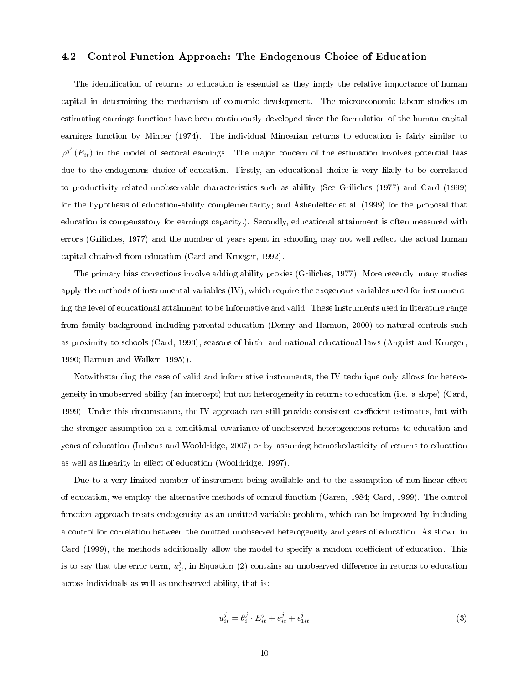#### 4.2 Control Function Approach: The Endogenous Choice of Education

The identification of returns to education is essential as they imply the relative importance of human capital in determining the mechanism of economic development. The microeconomic labour studies on estimating earnings functions have been continuously developed since the formulation of the human capital earnings function by Mincer (1974). The individual Mincerian returns to education is fairly similar to  $\varphi^{j'}\left(E_{it}\right)$  in the model of sectoral earnings. The major concern of the estimation involves potential bias due to the endogenous choice of education. Firstly, an educational choice is very likely to be correlated to productivity-related unobservable characteristics such as ability (See Griliches (1977) and Card (1999) for the hypothesis of education-ability complementarity; and Ashenfelter et al. (1999) for the proposal that education is compensatory for earnings capacity.). Secondly, educational attainment is often measured with errors (Griliches, 1977) and the number of years spent in schooling may not well reflect the actual human capital obtained from education (Card and Krueger, 1992).

The primary bias corrections involve adding ability proxies (Griliches, 1977). More recently, many studies apply the methods of instrumental variables (IV), which require the exogenous variables used for instrumenting the level of educational attainment to be informative and valid. These instruments used in literature range from family background including parental education (Denny and Harmon, 2000) to natural controls such as proximity to schools (Card, 1993), seasons of birth, and national educational laws (Angrist and Krueger, 1990; Harmon and Walker, 1995)).

Notwithstanding the case of valid and informative instruments, the IV technique only allows for heterogeneity in unobserved ability (an intercept) but not heterogeneity in returns to education (i.e. a slope) (Card, 1999). Under this circumstance, the IV approach can still provide consistent coefficient estimates, but with the stronger assumption on a conditional covariance of unobserved heterogeneous returns to education and years of education (Imbens and Wooldridge, 2007) or by assuming homoskedasticity of returns to education as well as linearity in effect of education (Wooldridge, 1997).

Due to a very limited number of instrument being available and to the assumption of non-linear effect of education, we employ the alternative methods of control function (Garen, 1984; Card, 1999). The control function approach treats endogeneity as an omitted variable problem, which can be improved by including a control for correlation between the omitted unobserved heterogeneity and years of education. As shown in Card (1999), the methods additionally allow the model to specify a random coefficient of education. This is to say that the error term,  $u_{it}^j$ , in Equation (2) contains an unobserved difference in returns to education across individuals as well as unobserved ability, that is:

$$
u_{it}^j = \theta_i^j \cdot E_{it}^j + e_{it}^j + \epsilon_{1it}^j \tag{3}
$$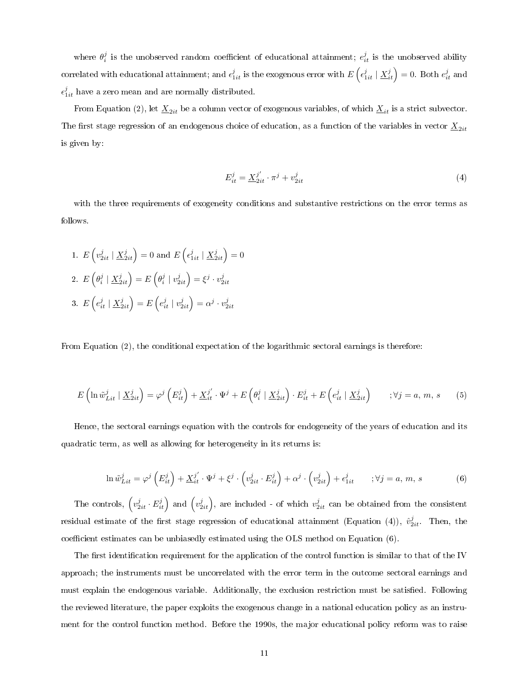where  $\theta_i^j$  is the unobserved random coefficient of educational attainment;  $e_{it}^j$  is the unobserved ability correlated with educational attainment; and  $\epsilon_{1it}^j$  is the exogenous error with  $E\left(\epsilon_{1it}^j\mid \underline{X}_{it}^j\right)=0$ . Both  $e_{it}^j$  and  $\epsilon_{1it}^j$  have a zero mean and are normally distributed.

From Equation (2), let  $\underline{X}_{2it}$  be a column vector of exogenous variables, of which  $\underline{X}_{it}$  is a strict subvector. The first stage regression of an endogenous choice of education, as a function of the variables in vector  $\underline{X}_{2it}$ is given by:

$$
E_{it}^{j} = \underline{X}_{2it}^{j'} \cdot \pi^{j} + v_{2it}^{j}
$$
 (4)

with the three requirements of exogeneity conditions and substantive restrictions on the error terms as follows.

1. 
$$
E\left(v_{2it}^j \mid \underline{X}_{2it}^j\right) = 0
$$
 and  $E\left(\epsilon_{1it}^j \mid \underline{X}_{2it}^j\right) = 0$   
\n2.  $E\left(\theta_i^j \mid \underline{X}_{2it}^j\right) = E\left(\theta_i^j \mid v_{2it}^j\right) = \xi^j \cdot v_{2it}^j$   
\n3.  $E\left(\epsilon_{it}^j \mid \underline{X}_{2it}^j\right) = E\left(\epsilon_{it}^j \mid v_{2it}^j\right) = \alpha^j \cdot v_{2it}^j$ 

From Equation (2), the conditional expectation of the logarithmic sectoral earnings is therefore:

$$
E\left(\ln \tilde{w}_{Lit}^j \mid \underline{X}_{2it}^j\right) = \varphi^j \left(E_{it}^j\right) + \underline{X}_{it}^{j'} \cdot \Psi^j + E\left(\theta_i^j \mid \underline{X}_{2it}^j\right) \cdot E_{it}^j + E\left(e_{it}^j \mid \underline{X}_{2it}^j\right) \qquad ; \forall j = a, m, s \qquad (5)
$$

Hence, the sectoral earnings equation with the controls for endogeneity of the years of education and its quadratic term, as well as allowing for heterogeneity in its returns is:

$$
\ln \tilde{w}_{Lit}^j = \varphi^j \left( E_{it}^j \right) + \underline{X}_{it}^{j'} \cdot \Psi^j + \xi^j \cdot \left( v_{2it}^j \cdot E_{it}^j \right) + \alpha^j \cdot \left( v_{2it}^j \right) + \epsilon_{1it}^j \qquad ; \forall j = a, m, s
$$
 (6)

The controls,  $\left(v_{2it}^j \cdot E_{it}^j\right)$  and  $\left(v_{2it}^j\right)$ , are included - of which  $v_{2it}^j$  can be obtained from the consistent residual estimate of the first stage regression of educational attainment (Equation (4)),  $\hat{v}_{2it}^j$ . Then, the coefficient estimates can be unbiasedly estimated using the OLS method on Equation  $(6)$ .

The first identification requirement for the application of the control function is similar to that of the IV approach; the instruments must be uncorrelated with the error term in the outcome sectoral earnings and must explain the endogenous variable. Additionally, the exclusion restriction must be satisfied. Following the reviewed literature, the paper exploits the exogenous change in a national education policy as an instrument for the control function method. Before the 1990s, the major educational policy reform was to raise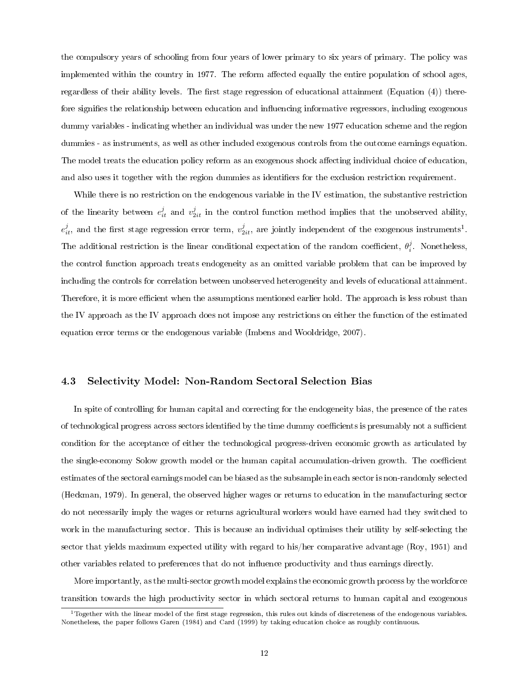the compulsory years of schooling from four years of lower primary to six years of primary. The policy was implemented within the country in 1977. The reform affected equally the entire population of school ages, regardless of their ability levels. The first stage regression of educational attainment (Equation  $(4)$ ) therefore signifies the relationship between education and influencing informative regressors, including exogenous dummy variables - indicating whether an individual was under the new 1977 education scheme and the region dummies - as instruments, as well as other included exogenous controls from the outcome earnings equation. The model treats the education policy reform as an exogenous shock affecting individual choice of education, and also uses it together with the region dummies as identifiers for the exclusion restriction requirement.

While there is no restriction on the endogenous variable in the IV estimation, the substantive restriction of the linearity between  $e_{it}^j$  and  $v_{2it}^j$  in the control function method implies that the unobserved ability,  $e_{it}^j$ , and the first stage regression error term,  $v_{2it}^j$ , are jointly independent of the exogenous instruments<sup>1</sup>. The additional restriction is the linear conditional expectation of the random coefficient,  $\theta_i^j$ . Nonetheless, the control function approach treats endogeneity as an omitted variable problem that can be improved by including the controls for correlation between unobserved heterogeneity and levels of educational attainment. Therefore, it is more efficient when the assumptions mentioned earlier hold. The approach is less robust than the IV approach as the IV approach does not impose any restrictions on either the function of the estimated equation error terms or the endogenous variable (Imbens and Wooldridge, 2007).

#### 4.3 Selectivity Model: Non-Random Sectoral Selection Bias

In spite of controlling for human capital and correcting for the endogeneity bias, the presence of the rates of technological progress across sectors identified by the time dummy coefficients is presumably not a sufficient condition for the acceptance of either the technological progress-driven economic growth as articulated by the single-economy Solow growth model or the human capital accumulation-driven growth. The coefficient estimates of the sectoral earnings model can be biased as the subsample in each sector is non-randomly selected (Heckman, 1979). In general, the observed higher wages or returns to education in the manufacturing sector do not necessarily imply the wages or returns agricultural workers would have earned had they switched to work in the manufacturing sector. This is because an individual optimises their utility by self-selecting the sector that yields maximum expected utility with regard to his/her comparative advantage (Roy, 1951) and other variables related to preferences that do not inuence productivity and thus earnings directly.

More importantly, as the multi-sector growth model explains the economic growth process by the workforce transition towards the high productivity sector in which sectoral returns to human capital and exogenous

<sup>&</sup>lt;sup>1</sup>Together with the linear model of the first stage regression, this rules out kinds of discreteness of the endogenous variables. Nonetheless, the paper follows Garen (1984) and Card (1999) by taking education choice as roughly continuous.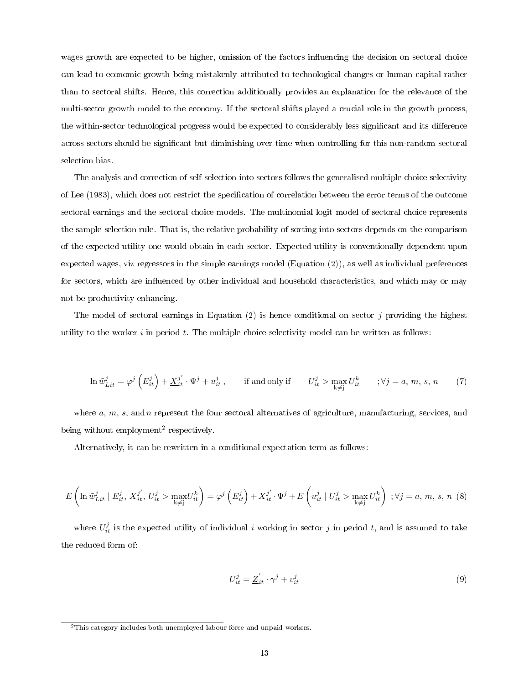wages growth are expected to be higher, omission of the factors influencing the decision on sectoral choice can lead to economic growth being mistakenly attributed to technological changes or human capital rather than to sectoral shifts. Hence, this correction additionally provides an explanation for the relevance of the multi-sector growth model to the economy. If the sectoral shifts played a crucial role in the growth process, the within-sector technological progress would be expected to considerably less significant and its difference across sectors should be signicant but diminishing over time when controlling for this non-random sectoral selection bias.

The analysis and correction of self-selection into sectors follows the generalised multiple choice selectivity of Lee (1983), which does not restrict the specification of correlation between the error terms of the outcome sectoral earnings and the sectoral choice models. The multinomial logit model of sectoral choice represents the sample selection rule. That is, the relative probability of sorting into sectors depends on the comparison of the expected utility one would obtain in each sector. Expected utility is conventionally dependent upon expected wages, viz regressors in the simple earnings model (Equation (2)), as well as individual preferences for sectors, which are influenced by other individual and household characteristics, and which may or may not be productivity enhancing.

The model of sectoral earnings in Equation (2) is hence conditional on sector  $j$  providing the highest utility to the worker  $i$  in period  $t$ . The multiple choice selectivity model can be written as follows:

$$
\ln \tilde{w}_{Lit}^j = \varphi^j \left( E_{it}^j \right) + \underline{X}_{it}^{j'} \cdot \Psi^j + u_{it}^j, \qquad \text{if and only if} \qquad U_{it}^j > \max_{k \neq j} U_{it}^k \qquad ; \forall j = a, m, s, n \tag{7}
$$

where  $a, m, s$ , and n represent the four sectoral alternatives of agriculture, manufacturing, services, and being without employment<sup>2</sup> respectively.

Alternatively, it can be rewritten in a conditional expectation term as follows:

$$
E\left(\ln \tilde{w}_{Lit}^j \mid E_{it}^j, \underline{X}_{it}^{j'}, U_{it}^j > \max_{k \neq j} U_{it}^k\right) = \varphi^j\left(E_{it}^j\right) + \underline{X}_{it}^{j'} \cdot \Psi^j + E\left(w_{it}^j \mid U_{it}^j > \max_{k \neq j} U_{it}^k\right) ; \forall j = a, m, s, n \tag{8}
$$

where  $U_{it}^j$  is the expected utility of individual i working in sector j in period t, and is assumed to take the reduced form of:

$$
U_{it}^{j} = \underline{Z}_{it}^{'} \cdot \gamma^{j} + v_{it}^{j}
$$
\n
$$
\tag{9}
$$

<sup>&</sup>lt;sup>2</sup>This category includes both unemployed labour force and unpaid workers.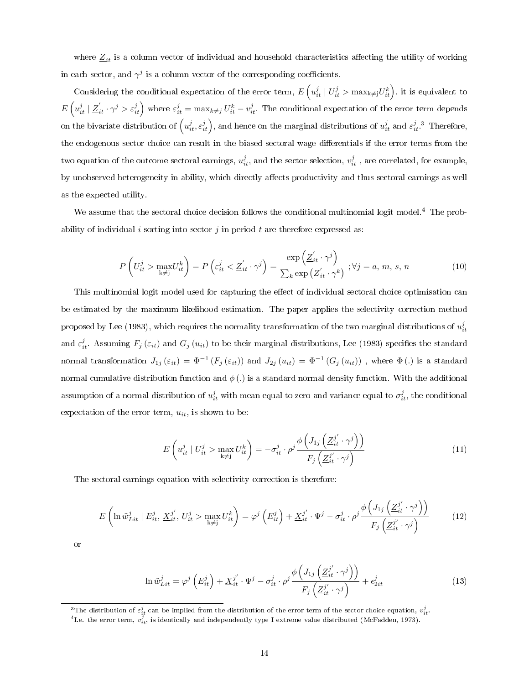where  $Z_{it}$  is a column vector of individual and household characteristics affecting the utility of working in each sector, and  $\gamma^j$  is a column vector of the corresponding coefficients.

Considering the conditional expectation of the error term,  $E\left(u_{it}^j \mid U_{it}^j > \max_{k\neq j} U_{it}^k\right)$ , it is equivalent to  $E\left(u_{it}^j \mid \underline{Z}_{it}^{\prime} \cdot \gamma^j > \varepsilon_{it}^j \right)$  where  $\varepsilon_{it}^j = \max_{k \neq j} U_{it}^k - v_{it}^j$ . The conditional expectation of the error term depends on the bivariate distribution of  $\left(u^j_{it}, \varepsilon^j_{it}\right)$ , and hence on the marginal distributions of  $u^j_{it}$  and  $\varepsilon^j_{it}$ .<sup>3</sup> Therefore, the endogenous sector choice can result in the biased sectoral wage differentials if the error terms from the two equation of the outcome sectoral earnings,  $u_{it}^j$ , and the sector selection,  $v_{it}^j$  , are correlated, for example, by unobserved heterogeneity in ability, which directly affects productivity and thus sectoral earnings as well as the expected utility.

We assume that the sectoral choice decision follows the conditional multinomial logit model.<sup>4</sup> The probability of individual i sorting into sector j in period t are therefore expressed as:

$$
P\left(U_{it}^j > \max_{k \neq j} U_{it}^k\right) = P\left(\varepsilon_{it}^j < \underline{Z}_{it}^{\prime} \cdot \gamma^j\right) = \frac{\exp\left(\underline{Z}_{it}^{\prime} \cdot \gamma^j\right)}{\sum_k \exp\left(\underline{Z}_{it}^{\prime} \cdot \gamma^k\right)}; \forall j = a, m, s, n
$$
\n(10)

This multinomial logit model used for capturing the effect of individual sectoral choice optimisation can be estimated by the maximum likelihood estimation. The paper applies the selectivity correction method proposed by Lee (1983), which requires the normality transformation of the two marginal distributions of  $u_{it}^j$ and  $\varepsilon_{it}^j$ . Assuming  $F_j(\varepsilon_{it})$  and  $G_j(u_{it})$  to be their marginal distributions, Lee (1983) specifies the standard normal transformation  $J_{1j}(\varepsilon_{it}) = \Phi^{-1}(F_j(\varepsilon_{it}))$  and  $J_{2j}(u_{it}) = \Phi^{-1}(G_j(u_{it}))$ , where  $\Phi(.)$  is a standard normal cumulative distribution function and  $\phi(.)$  is a standard normal density function. With the additional assumption of a normal distribution of  $u_{it}^j$  with mean equal to zero and variance equal to  $\sigma_{it}^j$ , the conditional expectation of the error term,  $u_{it}$ , is shown to be:

$$
E\left(u_{it}^j \mid U_{it}^j > \max_{k \neq j} U_{it}^k\right) = -\sigma_{it}^j \cdot \rho^j \frac{\phi\left(J_{1j}\left(\underline{Z}_{it}^{j'} \cdot \gamma^j\right)\right)}{F_j\left(\underline{Z}_{it}^{j'} \cdot \gamma^j\right)}
$$
(11)

The sectoral earnings equation with selectivity correction is therefore:

$$
E\left(\ln \tilde{w}_{Lit}^j \mid E_{it}^j, \underline{X}_{it}^{j'}, U_{it}^j > \max_{k \neq j} U_{it}^k\right) = \varphi^j\left(E_{it}^j\right) + \underline{X}_{it}^{j'} \cdot \Psi^j - \sigma_{it}^j \cdot \rho^j \frac{\phi\left(J_{1j}\left(\underline{Z}_{it}^{j'} \cdot \gamma^j\right)\right)}{F_j\left(\underline{Z}_{it}^{j'} \cdot \gamma^j\right)}\tag{12}
$$

or

$$
\ln \tilde{w}_{Lit}^j = \varphi^j \left( E_{it}^j \right) + \underline{X}_{it}^{j'} \cdot \Psi^j - \sigma_{it}^j \cdot \rho^j \frac{\phi \left( J_{1j} \left( \underline{Z}_{it}^{j'} \cdot \gamma^j \right) \right)}{F_j \left( \underline{Z}_{it}^{j'} \cdot \gamma^j \right)} + \epsilon_{2it}^j \tag{13}
$$

<sup>3</sup>The distribution of  $\varepsilon_{it}^j$  can be implied from the distribution of the error term of the sector choice equation,  $v_{it}^j$ .<br><sup>4</sup>I.e. the error term,  $v_{it}^j$ , is identically and independently type I extreme value dis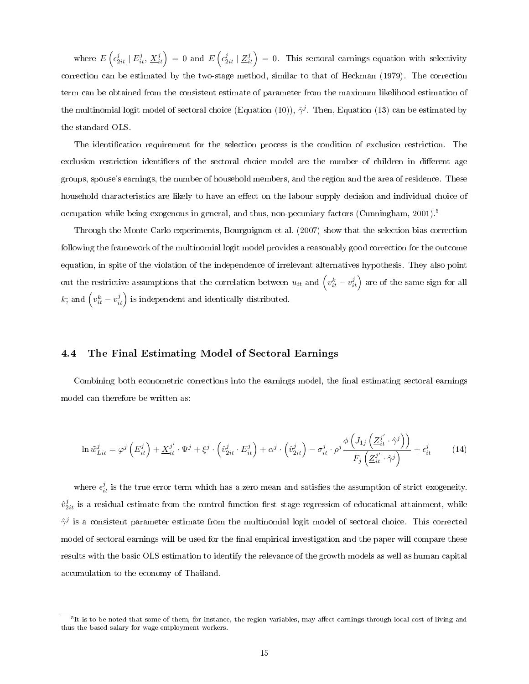where  $E\left(\epsilon_{2it}^j \mid E_{it}^j, \underline{X}_{it}^j\right) = 0$  and  $E\left(\epsilon_{2it}^j \mid \underline{Z}_{it}^j\right) = 0$ . This sectoral earnings equation with selectivity correction can be estimated by the two-stage method, similar to that of Heckman (1979). The correction term can be obtained from the consistent estimate of parameter from the maximum likelihood estimation of the multinomial logit model of sectoral choice (Equation (10)),  $\hat{\gamma}^j$ . Then, Equation (13) can be estimated by the standard OLS.

The identification requirement for the selection process is the condition of exclusion restriction. The exclusion restriction identifiers of the sectoral choice model are the number of children in different age groups, spouse's earnings, the number of household members, and the region and the area of residence. These household characteristics are likely to have an effect on the labour supply decision and individual choice of occupation while being exogenous in general, and thus, non-pecuniary factors (Cunningham, 2001).<sup>5</sup>

Through the Monte Carlo experiments, Bourguignon et al. (2007) show that the selection bias correction following the framework of the multinomial logit model provides a reasonably good correction for the outcome equation, in spite of the violation of the independence of irrelevant alternatives hypothesis. They also point out the restrictive assumptions that the correlation between  $u_{it}$  and  $\left(v_{it}^k - v_{it}^j\right)$  are of the same sign for all k; and  $\left(v_{it}^k - v_{it}^j\right)$  is independent and identically distributed.

#### 4.4 The Final Estimating Model of Sectoral Earnings

Combining both econometric corrections into the earnings model, the final estimating sectoral earnings model can therefore be written as:

$$
\ln \tilde{w}_{Lit}^j = \varphi^j \left( E_{it}^j \right) + \underline{X}_{it}^{j'} \cdot \Psi^j + \xi^j \cdot \left( \hat{v}_{2it}^j \cdot E_{it}^j \right) + \alpha^j \cdot \left( \hat{v}_{2it}^j \right) - \sigma_{it}^j \cdot \rho^j \frac{\phi \left( J_{1j} \left( \underline{Z}_{it}^{j'} \cdot \hat{\gamma}^j \right) \right)}{F_j \left( \underline{Z}_{it}^{j'} \cdot \hat{\gamma}^j \right)} + \epsilon_{it}^j \tag{14}
$$

where  $\epsilon_{it}^j$  is the true error term which has a zero mean and satisfies the assumption of strict exogeneity.  $\hat{v}_{2it}^j$  is a residual estimate from the control function first stage regression of educational attainment, while  $\hat{\gamma}^j$  is a consistent parameter estimate from the multinomial logit model of sectoral choice. This corrected model of sectoral earnings will be used for the final empirical investigation and the paper will compare these results with the basic OLS estimation to identify the relevance of the growth models as well as human capital accumulation to the economy of Thailand.

<sup>&</sup>lt;sup>5</sup>It is to be noted that some of them, for instance, the region variables, may affect earnings through local cost of living and thus the based salary for wage employment workers.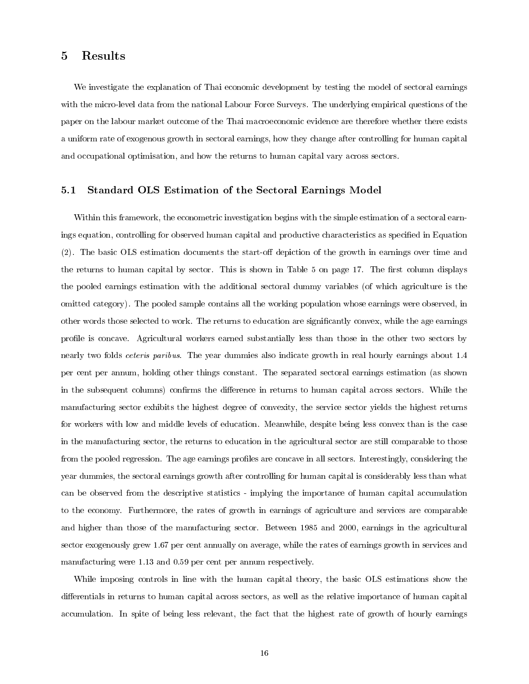#### 5 Results

We investigate the explanation of Thai economic development by testing the model of sectoral earnings with the micro-level data from the national Labour Force Surveys. The underlying empirical questions of the paper on the labour market outcome of the Thai macroeconomic evidence are therefore whether there exists a uniform rate of exogenous growth in sectoral earnings, how they change after controlling for human capital and occupational optimisation, and how the returns to human capital vary across sectors.

#### 5.1 Standard OLS Estimation of the Sectoral Earnings Model

Within this framework, the econometric investigation begins with the simple estimation of a sectoral earnings equation, controlling for observed human capital and productive characteristics as specified in Equation  $(2)$ . The basic OLS estimation documents the start-off depiction of the growth in earnings over time and the returns to human capital by sector. This is shown in Table 5 on page 17. The first column displays the pooled earnings estimation with the additional sectoral dummy variables (of which agriculture is the omitted category). The pooled sample contains all the working population whose earnings were observed, in other words those selected to work. The returns to education are signicantly convex, while the age earnings profile is concave. Agricultural workers earned substantially less than those in the other two sectors by nearly two folds *ceteris paribus*. The year dummies also indicate growth in real hourly earnings about 1.4 per cent per annum, holding other things constant. The separated sectoral earnings estimation (as shown in the subsequent columns) confirms the difference in returns to human capital across sectors. While the manufacturing sector exhibits the highest degree of convexity, the service sector yields the highest returns for workers with low and middle levels of education. Meanwhile, despite being less convex than is the case in the manufacturing sector, the returns to education in the agricultural sector are still comparable to those from the pooled regression. The age earnings profiles are concave in all sectors. Interestingly, considering the year dummies, the sectoral earnings growth after controlling for human capital is considerably less than what can be observed from the descriptive statistics - implying the importance of human capital accumulation to the economy. Furthermore, the rates of growth in earnings of agriculture and services are comparable and higher than those of the manufacturing sector. Between 1985 and 2000, earnings in the agricultural sector exogenously grew 1.67 per cent annually on average, while the rates of earnings growth in services and manufacturing were 1.13 and 0.59 per cent per annum respectively.

While imposing controls in line with the human capital theory, the basic OLS estimations show the differentials in returns to human capital across sectors, as well as the relative importance of human capital accumulation. In spite of being less relevant, the fact that the highest rate of growth of hourly earnings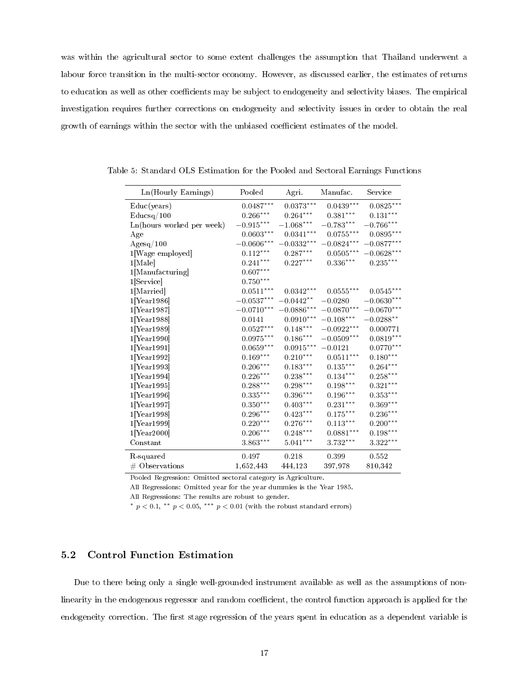was within the agricultural sector to some extent challenges the assumption that Thailand underwent a labour force transition in the multi-sector economy. However, as discussed earlier, the estimates of returns to education as well as other coefficients may be subject to endogeneity and selectivity biases. The empirical investigation requires further corrections on endogeneity and selectivity issues in order to obtain the real growth of earnings within the sector with the unbiased coefficient estimates of the model.

| Ln(Hourly Earnings)       | Pooled                  | Agri                    | Manufac.                | Service                 |
|---------------------------|-------------------------|-------------------------|-------------------------|-------------------------|
| Educ(years)               | $0.0487***$             | $0.0373^{\ast\ast\ast}$ | $0.0439^{\ast\ast\ast}$ | $0.0825^{\ast\ast\ast}$ |
| Educsq/100                | $0.266***$              | $0.264***$              | $0.381***$              | $0.131***$              |
| Ln(hours worked per week) | $-0.915^{\ast\ast\ast}$ | $-1.068***$             | $-0.783***$             | $-0.766***$             |
| Age                       | $0.0603***$             | $0.0341***$             | $0.0755^{***}\,$        | $0.0895***$             |
| $\rm{Agesq}/100$          | $-0.0606***$            | $-0.0332***$            | $-0.0824***$            | $-0.0877***$            |
| 1[Wage employed]          | $0.112^{\ast\ast\ast}$  | $0.287***$              | $0.0505^{\ast\ast\ast}$ | $-0.0628***$            |
| $1$ [Male]                | $0.241^{\ast\ast\ast}$  | $0.227***$              | $0.336***$              | $0.235^{\ast\ast\ast}$  |
| 1[Manufacturing]          | $0.607***$              |                         |                         |                         |
| $1$ [Service]             | $0.750***$              |                         |                         |                         |
| 1[Married]                | $0.0511***$             | $0.0342***$             | $0.0555***$             | $0.0545***$             |
| $1$ [Year 1986]           | $-0.0537***$            | $-0.0442**$             | $-0.0280$               | $-0.0630***$            |
| $1$ [Year 1987]           | $-0.0710***$            | $-0.0886***$            | $-0.0870***$            | $-0.0670***$            |
| $1$ [Year 1988]           | 0.0141                  | $0.0910^{***}\,$        | $-0.108***$             | $-0.0288**$             |
| $1$ [Year 1989]           | $0.0527^{\ast\ast\ast}$ | $0.148***$              | $-0.0922***$            | 0.000771                |
| $1$ [Year 1990]           | $0.0975^{\ast\ast\ast}$ | $0.186^{\ast\ast\ast}$  | $-0.0509***$            | $0.0819***$             |
| 1[Year1991]               | $0.0659^{\ast\ast\ast}$ | $0.0915^{\ast\ast\ast}$ | $-0.0121$               | $0.0770***$             |
| $1$ [Year 1992]           | $0.169^{\ast\ast\ast}$  | $0.210***$              | $0.0511***$             | $0.180^{\ast\ast\ast}$  |
| $1$ [Year 1993]           | $0.206***$              | $0.183***$              | $0.135***$              | $0.264***$              |
| $1$ [Year 1994]           | $0.226***$              | $0.238***$              | $0.134***$              | $0.258***$              |
| $1$ [Year 1995]           | $0.288^{\ast\ast\ast}$  | $0.298***$              | $0.198***$              | $0.321***$              |
| $1$ [Year 1996]           | $0.335^{\ast\ast\ast}$  | $0.396***$              | $0.196***$              | $0.353^{\ast\ast\ast}$  |
| $1$ [Year 1997]           | $0.350***$              | $0.403***$              | $0.231***$              | $0.369***$              |
| $1$ [Year 1998]           | $0.296***$              | $0.423^{\ast\ast\ast}$  | $0.175***$              | $0.236***$              |
| $1$ [Year 1999]           | $0.220^{\ast\ast\ast}$  | $0.276***$              | $0.113***$              | $0.200***$              |
| $1$ [Year2000]            | $0.206^{\ast\ast\ast}$  | $0.248^{\ast\ast\ast}$  | $0.0881^{\ast\ast\ast}$ | $0.198***$              |
| $_{\rm Constant}$         | $3.863***$              | $5.041***$              | $3.732***$              | $3.322***$              |
| R-squared                 | 0.497                   | 0.218                   | 0.399                   | 0.552                   |
| $#$ Observations          | 1,652,443               | 444,123                 | 397,978                 | 810,342                 |

Table 5: Standard OLS Estimation for the Pooled and Sectoral Earnings Functions

Pooled Regression: Omitted sectoral category is Agriculture.

All Regressions: Omitted year for the year dummies is the Year 1985.

All Regressions: The results are robust to gender.

\*  $p < 0.1$ , \*\*  $p < 0.05$ , \*\*\*  $p < 0.01$  (with the robust standard errors)

#### 5.2 Control Function Estimation

Due to there being only a single well-grounded instrument available as well as the assumptions of nonlinearity in the endogenous regressor and random coefficient, the control function approach is applied for the endogeneity correction. The first stage regression of the years spent in education as a dependent variable is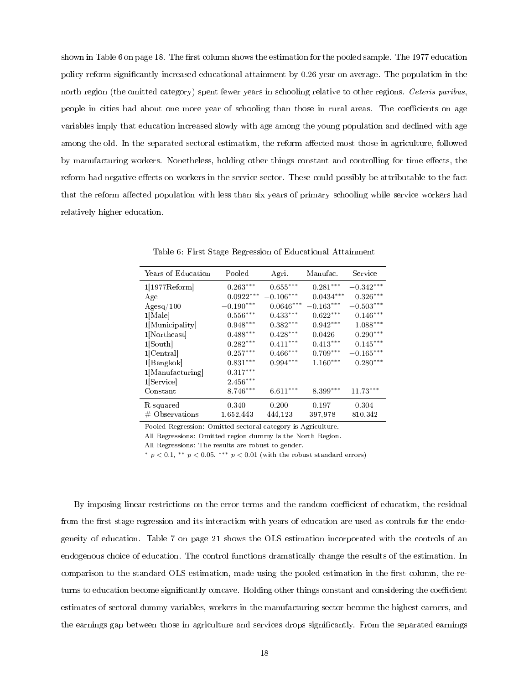shown in Table 6 on page 18. The first column shows the estimation for the pooled sample. The 1977 education policy reform signicantly increased educational attainment by 0.26 year on average. The population in the north region (the omitted category) spent fewer years in schooling relative to other regions. Ceteris paribus, people in cities had about one more year of schooling than those in rural areas. The coefficients on age variables imply that education increased slowly with age among the young population and declined with age among the old. In the separated sectoral estimation, the reform affected most those in agriculture, followed by manufacturing workers. Nonetheless, holding other things constant and controlling for time effects, the reform had negative effects on workers in the service sector. These could possibly be attributable to the fact that the reform affected population with less than six years of primary schooling while service workers had relatively higher education.

| Years of Education | Pooled                 | Agri.                  | Manufac.    | Service                 |
|--------------------|------------------------|------------------------|-------------|-------------------------|
| $1[1977$ Reform    | $0.263^{\ast\ast\ast}$ | $0.655***$             | $0.281***$  | $-0.342***$             |
| Age                | $0.0922***$            | $-0.106***$            | $0.0434***$ | $0.326***$              |
| $\rm{Agesq}/100$   | $-0.190***$            | $0.0646***$            | $-0.163***$ | $-0.503***$             |
| $1$ [Male]         | $0.556^{\ast\ast\ast}$ | $0.433***$             | $0.622***$  | $0.146***$              |
| 1 Municipality     | $0.948^{\ast\ast\ast}$ | $0.382^{\ast\ast\ast}$ | $0.942***$  | $1.088^{\ast\ast\ast}$  |
| 1 Northeast        | $0.488^{\ast\ast\ast}$ | $0.428***$             | 0.0426      | $0.290***$              |
| 1 South            | $0.282^{\ast\ast\ast}$ | $0.411***$             | $0.413***$  | $0.145***$              |
| 1 Central          | $0.257^{\ast\ast\ast}$ | $0.466^{\ast\ast\ast}$ | $0.709***$  | $-0.165^{\ast\ast\ast}$ |
| $1 $ Bangkok       | $0.831^{\ast\ast\ast}$ | $0.994***$             | $1.160***$  | $0.280***$              |
| 1 Manufacturing    | $0.317^{\ast\ast\ast}$ |                        |             |                         |
| 1 Service          | $2.456^{\ast\ast\ast}$ |                        |             |                         |
| Constant           | $8.746***$             | $6.611***$             | $8.399***$  | $11.73***$              |
| R squared          | 0.340                  | 0.200                  | 0.197       | 0.304                   |
| $#$ Observations   | 1,652,443              | 444,123                | 397,978     | 810,342                 |

Table 6: First Stage Regression of Educational Attainment

Pooled Regression: Omitted sectoral category is Agriculture.

All Regressions: Omitted region dummy is the North Region.

All Regressions: The results are robust to gender.

\*  $p < 0.1$ , \*\*  $p < 0.05$ , \*\*\*  $p < 0.01$  (with the robust standard errors)

By imposing linear restrictions on the error terms and the random coefficient of education, the residual from the first stage regression and its interaction with years of education are used as controls for the endogeneity of education. Table 7 on page 21 shows the OLS estimation incorporated with the controls of an endogenous choice of education. The control functions dramatically change the results of the estimation. In comparison to the standard OLS estimation, made using the pooled estimation in the first column, the returns to education become significantly concave. Holding other things constant and considering the coefficient estimates of sectoral dummy variables, workers in the manufacturing sector become the highest earners, and the earnings gap between those in agriculture and services drops signicantly. From the separated earnings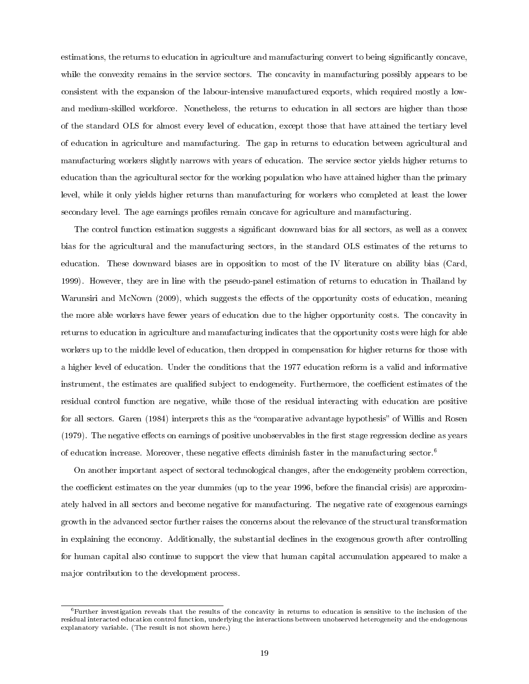estimations, the returns to education in agriculture and manufacturing convert to being significantly concave, while the convexity remains in the service sectors. The concavity in manufacturing possibly appears to be consistent with the expansion of the labour-intensive manufactured exports, which required mostly a lowand medium-skilled workforce. Nonetheless, the returns to education in all sectors are higher than those of the standard OLS for almost every level of education, except those that have attained the tertiary level of education in agriculture and manufacturing. The gap in returns to education between agricultural and manufacturing workers slightly narrows with years of education. The service sector yields higher returns to education than the agricultural sector for the working population who have attained higher than the primary level, while it only yields higher returns than manufacturing for workers who completed at least the lower secondary level. The age earnings profiles remain concave for agriculture and manufacturing.

The control function estimation suggests a significant downward bias for all sectors, as well as a convex bias for the agricultural and the manufacturing sectors, in the standard OLS estimates of the returns to education. These downward biases are in opposition to most of the IV literature on ability bias (Card, 1999). However, they are in line with the pseudo-panel estimation of returns to education in Thailand by Warunsiri and McNown (2009), which suggests the effects of the opportunity costs of education, meaning the more able workers have fewer years of education due to the higher opportunity costs. The concavity in returns to education in agriculture and manufacturing indicates that the opportunity costs were high for able workers up to the middle level of education, then dropped in compensation for higher returns for those with a higher level of education. Under the conditions that the 1977 education reform is a valid and informative instrument, the estimates are qualified subject to endogeneity. Furthermore, the coefficient estimates of the residual control function are negative, while those of the residual interacting with education are positive for all sectors. Garen (1984) interprets this as the "comparative advantage hypothesis" of Willis and Rosen  $(1979)$ . The negative effects on earnings of positive unobservables in the first stage regression decline as years of education increase. Moreover, these negative effects diminish faster in the manufacturing sector.<sup>6</sup>

On another important aspect of sectoral technological changes, after the endogeneity problem correction, the coefficient estimates on the year dummies (up to the year 1996, before the financial crisis) are approximately halved in all sectors and become negative for manufacturing. The negative rate of exogenous earnings growth in the advanced sector further raises the concerns about the relevance of the structural transformation in explaining the economy. Additionally, the substantial declines in the exogenous growth after controlling for human capital also continue to support the view that human capital accumulation appeared to make a major contribution to the development process.

<sup>6</sup>Further investigation reveals that the results of the concavity in returns to education is sensitive to the inclusion of the residual interacted education control function, underlying the interactions between unobserved heterogeneity and the endogenous explanatory variable. (The result is not shown here.)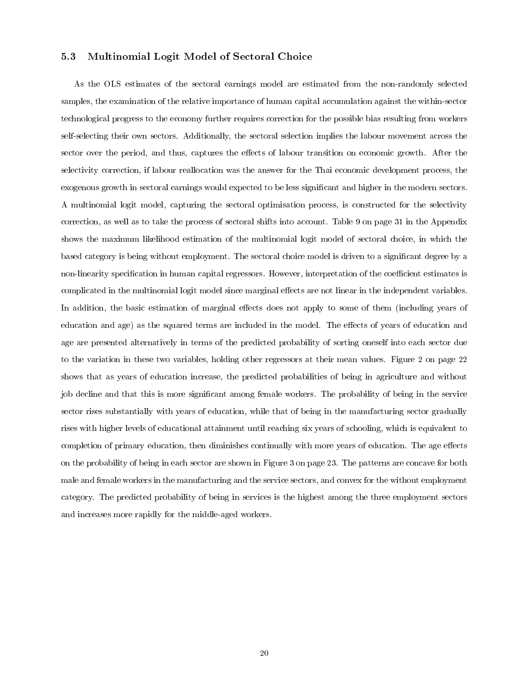#### 5.3 Multinomial Logit Model of Sectoral Choice

As the OLS estimates of the sectoral earnings model are estimated from the non-randomly selected samples, the examination of the relative importance of human capital accumulation against the within-sector technological progress to the economy further requires correction for the possible bias resulting from workers self-selecting their own sectors. Additionally, the sectoral selection implies the labour movement across the sector over the period, and thus, captures the effects of labour transition on economic growth. After the selectivity correction, if labour reallocation was the answer for the Thai economic development process, the exogenous growth in sectoral earnings would expected to be less significant and higher in the modern sectors. A multinomial logit model, capturing the sectoral optimisation process, is constructed for the selectivity correction, as well as to take the process of sectoral shifts into account. Table 9 on page 31 in the Appendix shows the maximum likelihood estimation of the multinomial logit model of sectoral choice, in which the based category is being without employment. The sectoral choice model is driven to a signicant degree by a non-linearity specification in human capital regressors. However, interpretation of the coefficient estimates is complicated in the multinomial logit model since marginal effects are not linear in the independent variables. In addition, the basic estimation of marginal effects does not apply to some of them (including years of education and age) as the squared terms are included in the model. The effects of years of education and age are presented alternatively in terms of the predicted probability of sorting oneself into each sector due to the variation in these two variables, holding other regressors at their mean values. Figure 2 on page 22 shows that as years of education increase, the predicted probabilities of being in agriculture and without job decline and that this is more signicant among female workers. The probability of being in the service sector rises substantially with years of education, while that of being in the manufacturing sector gradually rises with higher levels of educational attainment until reaching six years of schooling, which is equivalent to completion of primary education, then diminishes continually with more years of education. The age effects on the probability of being in each sector are shown in Figure 3 on page 23. The patterns are concave for both male and female workers in the manufacturing and the service sectors, and convex for the without employment category. The predicted probability of being in services is the highest among the three employment sectors and increases more rapidly for the middle-aged workers.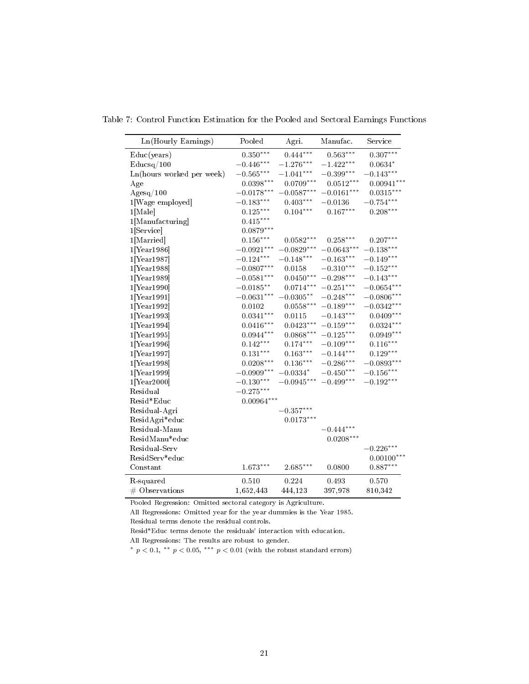| Pooled<br>Manufac.<br>Service<br>Agri.<br>$0.307***$<br>$0.444***$<br>$0.350***$<br>$0.563***$<br>Educ(years)<br>$-0.446***$<br>$-1.276***$<br>$-1.422***$<br>$0.0634*$<br>$\rm{Educsq}/100$<br>$-0.565***$<br>$-0.399***$<br>$-0.143***$<br>$-1.041***$<br>Ln(hours worked per week)<br>$0.0512***$<br>$0.0398***$<br>$0.0709***$<br>Age<br>$-0.0178***$<br>$-0.0587***$<br>$-0.0161***$<br>$\rm{Agesq}/100$<br>$-0.754***$<br>$-0.183***$<br>$0.403***$<br>$-0.0136$<br>1[Wage employed]<br>$0.208***$<br>$0.125***$<br>$0.104***$<br>$0.167***$<br>$1$ [Male]<br>$0.415***$<br>1[Manufacturing]<br>$0.0879***$<br>$1$ [Service]<br>$0.156***$<br>$0.0582***$<br>$0.207***$<br>1[Married]<br>$0.258***$<br>$-0.0829***$<br>$-0.0643***$<br>$-0.138***$<br>$-0.0921***$<br>$1$ [Year 1986]<br>$-0.124***$<br>$-0.148***$<br>$-0.163***$<br>$-0.149***$<br>$1$ [Year 1987]<br>$-0.0807***$<br>$-0.310***$<br>$-0.152***$<br>$1$ [Year 1988]<br>0.0158<br>$0.0450***$<br>$-0.298***$<br>$-0.143***$<br>$-0.0581***$<br>$1$ [Year 1989]<br>$-0.0654***$<br>$-0.0185***$<br>$0.0714***$<br>$-0.251***$<br>$1$ [Year 1990]<br>$-0.0631***$<br>$-0.0305**$<br>$-0.248***$<br>$1$ [Year 1991]<br>$-0.0342***$<br>$0.0558***$<br>$-0.189***$<br>$1$ [Year 1992]<br>0.0102<br>$0.0341***$<br>$0.0409***$<br>$-0.143***$<br>$1$ [Year 1993]<br>0.0115<br>$0.0423***$<br>$0.0416***$<br>$-0.159***$<br>$1$ [Year 1994]<br>$0.0868***$<br>$0.0944***$<br>$-0.125***$<br>$1$ [Year 1995]<br>$0.174***$<br>$0.116***$<br>$0.142***$<br>$-0.109***$<br>$1$ [Year 1996]<br>$0.131***$<br>$0.163***$<br>$-0.144***$<br>$0.129***$<br>$1$ [Year 1997]<br>$0.0208***$<br>$0.136***$<br>$-0.286***$<br>$1$ [Year1998]<br>$-0.156***$<br>$-0.0909***$<br>$-0.0334*$<br>$-0.450***$<br>$1$ [Year 1999]<br>$-0.0945***$<br>$-0.192***$<br>$-0.130***$<br>$-0.499***$<br>$1$ [Year2000]<br>$-0.275***$<br>Residual<br>$0.00964***$<br>Resid*Educ<br>$-0.357***$<br>Residual-Agri<br>$0.0173***$<br>ResidAgri*educ<br>$-0.444***$<br>Residual-Manu<br>$0.0208***$<br>ResidManu*educ<br>$-0.226***$<br>Residual-Serv<br>$0.00100***$<br>ResidServ*educ<br>$0.887***$<br>$1.673***$<br>$2.685***$<br>Constant<br>0.0800<br>0.510<br>0.224<br>0.493<br>0.570<br>R-squared<br>1,652,443<br>397,978<br>810,342<br>$#$ Observations<br>444,123 |                     |  |              |
|------------------------------------------------------------------------------------------------------------------------------------------------------------------------------------------------------------------------------------------------------------------------------------------------------------------------------------------------------------------------------------------------------------------------------------------------------------------------------------------------------------------------------------------------------------------------------------------------------------------------------------------------------------------------------------------------------------------------------------------------------------------------------------------------------------------------------------------------------------------------------------------------------------------------------------------------------------------------------------------------------------------------------------------------------------------------------------------------------------------------------------------------------------------------------------------------------------------------------------------------------------------------------------------------------------------------------------------------------------------------------------------------------------------------------------------------------------------------------------------------------------------------------------------------------------------------------------------------------------------------------------------------------------------------------------------------------------------------------------------------------------------------------------------------------------------------------------------------------------------------------------------------------------------------------------------------------------------------------------------------------------------------------------------------------------------------------------------------------------------------------------------------------------------------------------------------------------------------------------------------------------------------------------------------------------------|---------------------|--|--------------|
|                                                                                                                                                                                                                                                                                                                                                                                                                                                                                                                                                                                                                                                                                                                                                                                                                                                                                                                                                                                                                                                                                                                                                                                                                                                                                                                                                                                                                                                                                                                                                                                                                                                                                                                                                                                                                                                                                                                                                                                                                                                                                                                                                                                                                                                                                                                  | Ln(Hourly Earnings) |  |              |
|                                                                                                                                                                                                                                                                                                                                                                                                                                                                                                                                                                                                                                                                                                                                                                                                                                                                                                                                                                                                                                                                                                                                                                                                                                                                                                                                                                                                                                                                                                                                                                                                                                                                                                                                                                                                                                                                                                                                                                                                                                                                                                                                                                                                                                                                                                                  |                     |  |              |
|                                                                                                                                                                                                                                                                                                                                                                                                                                                                                                                                                                                                                                                                                                                                                                                                                                                                                                                                                                                                                                                                                                                                                                                                                                                                                                                                                                                                                                                                                                                                                                                                                                                                                                                                                                                                                                                                                                                                                                                                                                                                                                                                                                                                                                                                                                                  |                     |  |              |
|                                                                                                                                                                                                                                                                                                                                                                                                                                                                                                                                                                                                                                                                                                                                                                                                                                                                                                                                                                                                                                                                                                                                                                                                                                                                                                                                                                                                                                                                                                                                                                                                                                                                                                                                                                                                                                                                                                                                                                                                                                                                                                                                                                                                                                                                                                                  |                     |  |              |
|                                                                                                                                                                                                                                                                                                                                                                                                                                                                                                                                                                                                                                                                                                                                                                                                                                                                                                                                                                                                                                                                                                                                                                                                                                                                                                                                                                                                                                                                                                                                                                                                                                                                                                                                                                                                                                                                                                                                                                                                                                                                                                                                                                                                                                                                                                                  |                     |  | $0.00941***$ |
|                                                                                                                                                                                                                                                                                                                                                                                                                                                                                                                                                                                                                                                                                                                                                                                                                                                                                                                                                                                                                                                                                                                                                                                                                                                                                                                                                                                                                                                                                                                                                                                                                                                                                                                                                                                                                                                                                                                                                                                                                                                                                                                                                                                                                                                                                                                  |                     |  | $0.0315***$  |
|                                                                                                                                                                                                                                                                                                                                                                                                                                                                                                                                                                                                                                                                                                                                                                                                                                                                                                                                                                                                                                                                                                                                                                                                                                                                                                                                                                                                                                                                                                                                                                                                                                                                                                                                                                                                                                                                                                                                                                                                                                                                                                                                                                                                                                                                                                                  |                     |  |              |
|                                                                                                                                                                                                                                                                                                                                                                                                                                                                                                                                                                                                                                                                                                                                                                                                                                                                                                                                                                                                                                                                                                                                                                                                                                                                                                                                                                                                                                                                                                                                                                                                                                                                                                                                                                                                                                                                                                                                                                                                                                                                                                                                                                                                                                                                                                                  |                     |  |              |
|                                                                                                                                                                                                                                                                                                                                                                                                                                                                                                                                                                                                                                                                                                                                                                                                                                                                                                                                                                                                                                                                                                                                                                                                                                                                                                                                                                                                                                                                                                                                                                                                                                                                                                                                                                                                                                                                                                                                                                                                                                                                                                                                                                                                                                                                                                                  |                     |  |              |
|                                                                                                                                                                                                                                                                                                                                                                                                                                                                                                                                                                                                                                                                                                                                                                                                                                                                                                                                                                                                                                                                                                                                                                                                                                                                                                                                                                                                                                                                                                                                                                                                                                                                                                                                                                                                                                                                                                                                                                                                                                                                                                                                                                                                                                                                                                                  |                     |  |              |
|                                                                                                                                                                                                                                                                                                                                                                                                                                                                                                                                                                                                                                                                                                                                                                                                                                                                                                                                                                                                                                                                                                                                                                                                                                                                                                                                                                                                                                                                                                                                                                                                                                                                                                                                                                                                                                                                                                                                                                                                                                                                                                                                                                                                                                                                                                                  |                     |  |              |
|                                                                                                                                                                                                                                                                                                                                                                                                                                                                                                                                                                                                                                                                                                                                                                                                                                                                                                                                                                                                                                                                                                                                                                                                                                                                                                                                                                                                                                                                                                                                                                                                                                                                                                                                                                                                                                                                                                                                                                                                                                                                                                                                                                                                                                                                                                                  |                     |  |              |
|                                                                                                                                                                                                                                                                                                                                                                                                                                                                                                                                                                                                                                                                                                                                                                                                                                                                                                                                                                                                                                                                                                                                                                                                                                                                                                                                                                                                                                                                                                                                                                                                                                                                                                                                                                                                                                                                                                                                                                                                                                                                                                                                                                                                                                                                                                                  |                     |  |              |
|                                                                                                                                                                                                                                                                                                                                                                                                                                                                                                                                                                                                                                                                                                                                                                                                                                                                                                                                                                                                                                                                                                                                                                                                                                                                                                                                                                                                                                                                                                                                                                                                                                                                                                                                                                                                                                                                                                                                                                                                                                                                                                                                                                                                                                                                                                                  |                     |  |              |
|                                                                                                                                                                                                                                                                                                                                                                                                                                                                                                                                                                                                                                                                                                                                                                                                                                                                                                                                                                                                                                                                                                                                                                                                                                                                                                                                                                                                                                                                                                                                                                                                                                                                                                                                                                                                                                                                                                                                                                                                                                                                                                                                                                                                                                                                                                                  |                     |  |              |
|                                                                                                                                                                                                                                                                                                                                                                                                                                                                                                                                                                                                                                                                                                                                                                                                                                                                                                                                                                                                                                                                                                                                                                                                                                                                                                                                                                                                                                                                                                                                                                                                                                                                                                                                                                                                                                                                                                                                                                                                                                                                                                                                                                                                                                                                                                                  |                     |  |              |
|                                                                                                                                                                                                                                                                                                                                                                                                                                                                                                                                                                                                                                                                                                                                                                                                                                                                                                                                                                                                                                                                                                                                                                                                                                                                                                                                                                                                                                                                                                                                                                                                                                                                                                                                                                                                                                                                                                                                                                                                                                                                                                                                                                                                                                                                                                                  |                     |  | $-0.0806***$ |
|                                                                                                                                                                                                                                                                                                                                                                                                                                                                                                                                                                                                                                                                                                                                                                                                                                                                                                                                                                                                                                                                                                                                                                                                                                                                                                                                                                                                                                                                                                                                                                                                                                                                                                                                                                                                                                                                                                                                                                                                                                                                                                                                                                                                                                                                                                                  |                     |  |              |
|                                                                                                                                                                                                                                                                                                                                                                                                                                                                                                                                                                                                                                                                                                                                                                                                                                                                                                                                                                                                                                                                                                                                                                                                                                                                                                                                                                                                                                                                                                                                                                                                                                                                                                                                                                                                                                                                                                                                                                                                                                                                                                                                                                                                                                                                                                                  |                     |  |              |
|                                                                                                                                                                                                                                                                                                                                                                                                                                                                                                                                                                                                                                                                                                                                                                                                                                                                                                                                                                                                                                                                                                                                                                                                                                                                                                                                                                                                                                                                                                                                                                                                                                                                                                                                                                                                                                                                                                                                                                                                                                                                                                                                                                                                                                                                                                                  |                     |  | $0.0324***$  |
|                                                                                                                                                                                                                                                                                                                                                                                                                                                                                                                                                                                                                                                                                                                                                                                                                                                                                                                                                                                                                                                                                                                                                                                                                                                                                                                                                                                                                                                                                                                                                                                                                                                                                                                                                                                                                                                                                                                                                                                                                                                                                                                                                                                                                                                                                                                  |                     |  | $0.0949***$  |
|                                                                                                                                                                                                                                                                                                                                                                                                                                                                                                                                                                                                                                                                                                                                                                                                                                                                                                                                                                                                                                                                                                                                                                                                                                                                                                                                                                                                                                                                                                                                                                                                                                                                                                                                                                                                                                                                                                                                                                                                                                                                                                                                                                                                                                                                                                                  |                     |  |              |
|                                                                                                                                                                                                                                                                                                                                                                                                                                                                                                                                                                                                                                                                                                                                                                                                                                                                                                                                                                                                                                                                                                                                                                                                                                                                                                                                                                                                                                                                                                                                                                                                                                                                                                                                                                                                                                                                                                                                                                                                                                                                                                                                                                                                                                                                                                                  |                     |  |              |
|                                                                                                                                                                                                                                                                                                                                                                                                                                                                                                                                                                                                                                                                                                                                                                                                                                                                                                                                                                                                                                                                                                                                                                                                                                                                                                                                                                                                                                                                                                                                                                                                                                                                                                                                                                                                                                                                                                                                                                                                                                                                                                                                                                                                                                                                                                                  |                     |  | $-0.0893***$ |
|                                                                                                                                                                                                                                                                                                                                                                                                                                                                                                                                                                                                                                                                                                                                                                                                                                                                                                                                                                                                                                                                                                                                                                                                                                                                                                                                                                                                                                                                                                                                                                                                                                                                                                                                                                                                                                                                                                                                                                                                                                                                                                                                                                                                                                                                                                                  |                     |  |              |
|                                                                                                                                                                                                                                                                                                                                                                                                                                                                                                                                                                                                                                                                                                                                                                                                                                                                                                                                                                                                                                                                                                                                                                                                                                                                                                                                                                                                                                                                                                                                                                                                                                                                                                                                                                                                                                                                                                                                                                                                                                                                                                                                                                                                                                                                                                                  |                     |  |              |
|                                                                                                                                                                                                                                                                                                                                                                                                                                                                                                                                                                                                                                                                                                                                                                                                                                                                                                                                                                                                                                                                                                                                                                                                                                                                                                                                                                                                                                                                                                                                                                                                                                                                                                                                                                                                                                                                                                                                                                                                                                                                                                                                                                                                                                                                                                                  |                     |  |              |
|                                                                                                                                                                                                                                                                                                                                                                                                                                                                                                                                                                                                                                                                                                                                                                                                                                                                                                                                                                                                                                                                                                                                                                                                                                                                                                                                                                                                                                                                                                                                                                                                                                                                                                                                                                                                                                                                                                                                                                                                                                                                                                                                                                                                                                                                                                                  |                     |  |              |
|                                                                                                                                                                                                                                                                                                                                                                                                                                                                                                                                                                                                                                                                                                                                                                                                                                                                                                                                                                                                                                                                                                                                                                                                                                                                                                                                                                                                                                                                                                                                                                                                                                                                                                                                                                                                                                                                                                                                                                                                                                                                                                                                                                                                                                                                                                                  |                     |  |              |
|                                                                                                                                                                                                                                                                                                                                                                                                                                                                                                                                                                                                                                                                                                                                                                                                                                                                                                                                                                                                                                                                                                                                                                                                                                                                                                                                                                                                                                                                                                                                                                                                                                                                                                                                                                                                                                                                                                                                                                                                                                                                                                                                                                                                                                                                                                                  |                     |  |              |
|                                                                                                                                                                                                                                                                                                                                                                                                                                                                                                                                                                                                                                                                                                                                                                                                                                                                                                                                                                                                                                                                                                                                                                                                                                                                                                                                                                                                                                                                                                                                                                                                                                                                                                                                                                                                                                                                                                                                                                                                                                                                                                                                                                                                                                                                                                                  |                     |  |              |
|                                                                                                                                                                                                                                                                                                                                                                                                                                                                                                                                                                                                                                                                                                                                                                                                                                                                                                                                                                                                                                                                                                                                                                                                                                                                                                                                                                                                                                                                                                                                                                                                                                                                                                                                                                                                                                                                                                                                                                                                                                                                                                                                                                                                                                                                                                                  |                     |  |              |
|                                                                                                                                                                                                                                                                                                                                                                                                                                                                                                                                                                                                                                                                                                                                                                                                                                                                                                                                                                                                                                                                                                                                                                                                                                                                                                                                                                                                                                                                                                                                                                                                                                                                                                                                                                                                                                                                                                                                                                                                                                                                                                                                                                                                                                                                                                                  |                     |  |              |
|                                                                                                                                                                                                                                                                                                                                                                                                                                                                                                                                                                                                                                                                                                                                                                                                                                                                                                                                                                                                                                                                                                                                                                                                                                                                                                                                                                                                                                                                                                                                                                                                                                                                                                                                                                                                                                                                                                                                                                                                                                                                                                                                                                                                                                                                                                                  |                     |  |              |
|                                                                                                                                                                                                                                                                                                                                                                                                                                                                                                                                                                                                                                                                                                                                                                                                                                                                                                                                                                                                                                                                                                                                                                                                                                                                                                                                                                                                                                                                                                                                                                                                                                                                                                                                                                                                                                                                                                                                                                                                                                                                                                                                                                                                                                                                                                                  |                     |  |              |
|                                                                                                                                                                                                                                                                                                                                                                                                                                                                                                                                                                                                                                                                                                                                                                                                                                                                                                                                                                                                                                                                                                                                                                                                                                                                                                                                                                                                                                                                                                                                                                                                                                                                                                                                                                                                                                                                                                                                                                                                                                                                                                                                                                                                                                                                                                                  |                     |  |              |
|                                                                                                                                                                                                                                                                                                                                                                                                                                                                                                                                                                                                                                                                                                                                                                                                                                                                                                                                                                                                                                                                                                                                                                                                                                                                                                                                                                                                                                                                                                                                                                                                                                                                                                                                                                                                                                                                                                                                                                                                                                                                                                                                                                                                                                                                                                                  |                     |  |              |

Table 7: Control Function Estimation for the Pooled and Sectoral Earnings Functions

Pooled Regression: Omitted sectoral category is Agriculture.

All Regressions: Omitted year for the year dummies is the Year 1985. Residual terms denote the residual controls.

Resid\*Educ terms denote the residuals' interaction with education.

All Regressions: The results are robust to gender.

\*  $p < 0.1$ , \*\*  $p < 0.05$ , \*\*\*  $p < 0.01$  (with the robust standard errors)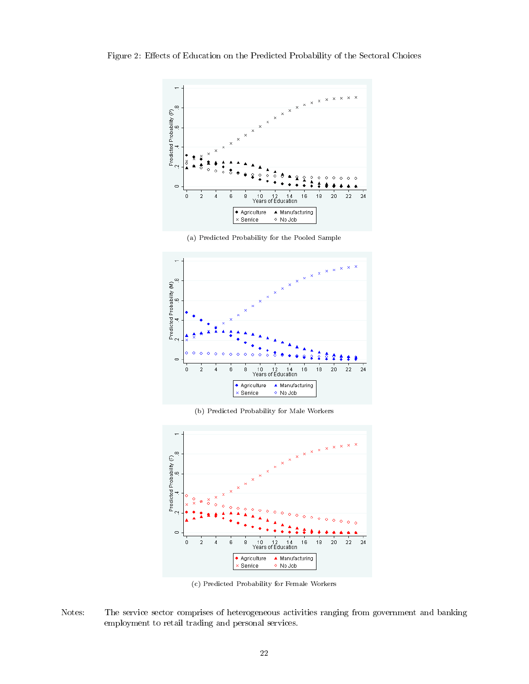Figure 2: Effects of Education on the Predicted Probability of the Sectoral Choices



(a) Predicted Probability for the Pooled Sample



(b) Predicted Probability for Male Workers



(c) Predicted Probability for Female Workers

Notes: The service sector comprises of heterogeneous activities ranging from government and banking employment to retail trading and personal services.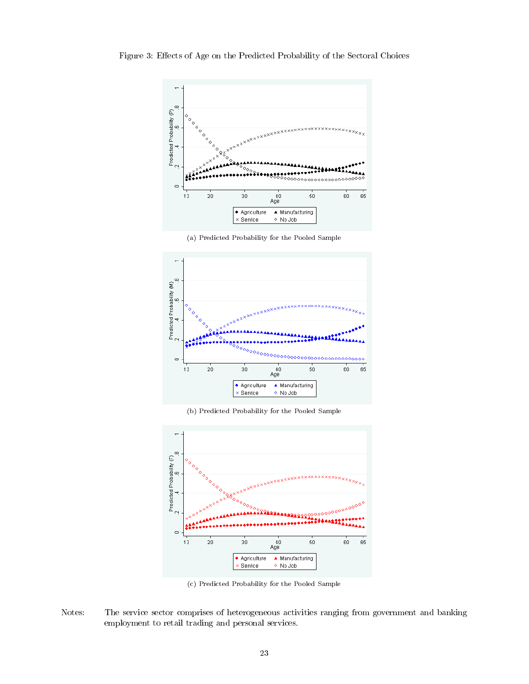

Figure 3: Effects of Age on the Predicted Probability of the Sectoral Choices

(a) Predicted Probability for the Pooled Sample



(b) Predicted Probability for the Pooled Sample



(c) Predicted Probability for the Pooled Sample

Notes: The service sector comprises of heterogeneous activities ranging from government and banking employment to retail trading and personal services.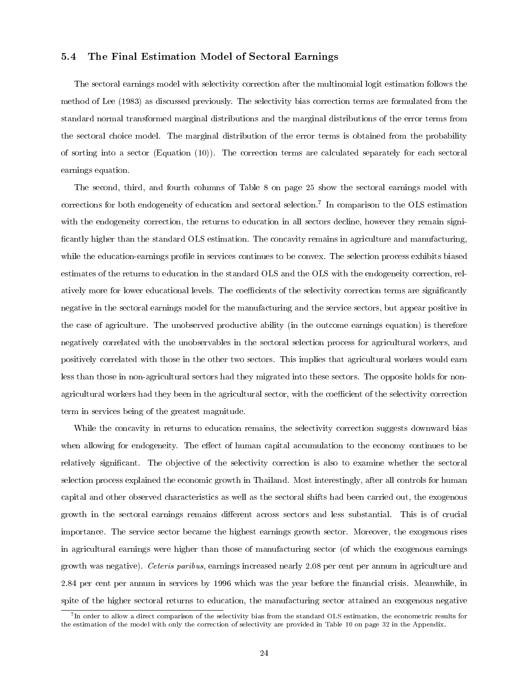#### 5.4 The Final Estimation Model of Sectoral Earnings

The sectoral earnings model with selectivity correction after the multinomial logit estimation follows the method of Lee (1983) as discussed previously. The selectivity bias correction terms are formulated from the standard normal transformed marginal distributions and the marginal distributions of the error terms from the sectoral choice model. The marginal distribution of the error terms is obtained from the probability of sorting into a sector (Equation (10)). The correction terms are calculated separately for each sectoral earnings equation.

The second, third, and fourth columns of Table 8 on page 25 show the sectoral earnings model with corrections for both endogeneity of education and sectoral selection.<sup>7</sup> In comparison to the OLS estimation with the endogeneity correction, the returns to education in all sectors decline, however they remain significantly higher than the standard OLS estimation. The concavity remains in agriculture and manufacturing, while the education-earnings profile in services continues to be convex. The selection process exhibits biased estimates of the returns to education in the standard OLS and the OLS with the endogeneity correction, relatively more for lower educational levels. The coefficients of the selectivity correction terms are significantly negative in the sectoral earnings model for the manufacturing and the service sectors, but appear positive in the case of agriculture. The unobserved productive ability (in the outcome earnings equation) is therefore negatively correlated with the unobservables in the sectoral selection process for agricultural workers, and positively correlated with those in the other two sectors. This implies that agricultural workers would earn less than those in non-agricultural sectors had they migrated into these sectors. The opposite holds for nonagricultural workers had they been in the agricultural sector, with the coefficient of the selectivity correction term in services being of the greatest magnitude.

While the concavity in returns to education remains, the selectivity correction suggests downward bias when allowing for endogeneity. The effect of human capital accumulation to the economy continues to be relatively significant. The objective of the selectivity correction is also to examine whether the sectoral selection process explained the economic growth in Thailand. Most interestingly, after all controls for human capital and other observed characteristics as well as the sectoral shifts had been carried out, the exogenous growth in the sectoral earnings remains different across sectors and less substantial. This is of crucial importance. The service sector became the highest earnings growth sector. Moreover, the exogenous rises in agricultural earnings were higher than those of manufacturing sector (of which the exogenous earnings growth was negative). Ceteris paribus, earnings increased nearly 2.08 per cent per annum in agriculture and 2.84 per cent per annum in services by 1996 which was the year before the financial crisis. Meanwhile, in spite of the higher sectoral returns to education, the manufacturing sector attained an exogenous negative

<sup>&</sup>lt;sup>7</sup>In order to allow a direct comparison of the selectivity bias from the standard OLS estimation, the econometric results for the estimation of the model with only the correction of selectivity are provided in Table 10 on page 32 in the Appendix.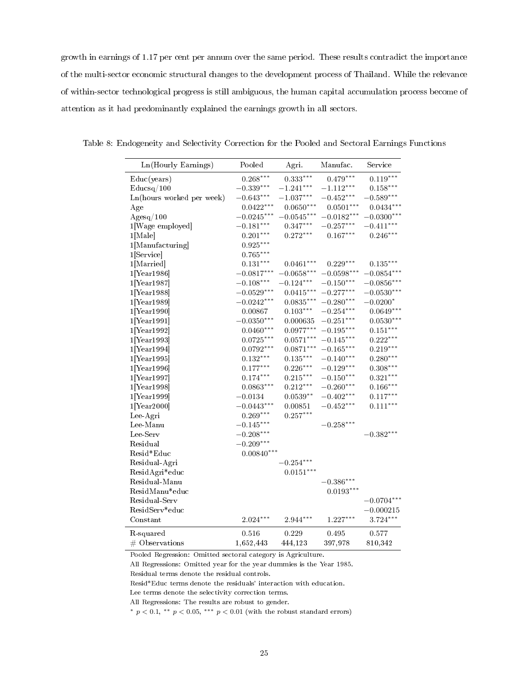growth in earnings of 1.17 per cent per annum over the same period. These results contradict the importance of the multi-sector economic structural changes to the development process of Thailand. While the relevance of within-sector technological progress is still ambiguous, the human capital accumulation process become of attention as it had predominantly explained the earnings growth in all sectors.

| Ln(Hourly Earnings)       | Pooled                 | Agri.                  | Manufac.     | Service      |
|---------------------------|------------------------|------------------------|--------------|--------------|
| Educ(years)               | $0.268***$             | $0.333***$             | $0.479***$   | $0.119***$   |
| Educsq/100                | $-0.339***$            | $-1.241***$            | $-1.112***$  | $0.158***$   |
| Ln(hours worked per week) | $-0.643***$            | $-1.037***$            | $-0.452***$  | $-0.589***$  |
| Age                       | $0.0422***$            | $0.0650***$            | $0.0501***$  | $0.0434***$  |
| Agesq/100                 | $-0.0245***$           | $-0.0545***$           | $-0.0182***$ | $-0.0300***$ |
| 1[Wage employed]          | $-0.181***$            | $0.347***$             | $-0.257***$  | $-0.411***$  |
| $1[\text{Male}]$          | $0.201***$             | $0.272***$             | $0.167***$   | $0.246***$   |
| 1[Manufacturing]          | $0.925^{\ast\ast\ast}$ |                        |              |              |
| 1[Service]                | $0.765***$             |                        |              |              |
| 1[Married]                | $0.131***$             | $0.0461***$            | $0.229***$   | $0.135***$   |
| $1$ [Year 1986]           | $-0.0817***$           | $-0.0658***$           | $-0.0598***$ | $-0.0854***$ |
| $1$ [Year1987]            | $-0.108***$            | $-0.124***$            | $-0.150***$  | $-0.0856***$ |
| $1$ [Year 1988]           | $-0.0529***$           | $0.0415***$            | $-0.277***$  | $-0.0530***$ |
| $1$ [Year 1989]           | $-0.0242***$           | $0.0835***$            | $-0.280***$  | $-0.0200*$   |
| $1$ [Year1990]            | 0.00867                | $0.103***$             | $-0.254***$  | $0.0649***$  |
| $1$ [Year1991]            | $-0.0350***$           | 0.000635               | $-0.251***$  | $0.0530***$  |
| 1[Year1992]               | $0.0460***$            | $0.0977***$            | $-0.195***$  | $0.151***$   |
| $1$ [Year1993]            | $0.0725***$            | $0.0571***$            | $-0.145***$  | $0.222***$   |
| $1$ [Year1994]            | $0.0792***$            | $0.0871***$            | $-0.165***$  | $0.219***$   |
| $1$ [Year 1995]           | $0.132***$             | $0.135***$             | $-0.140***$  | $0.280***$   |
| $1$ [Year 1996]           | $0.177***$             | $0.226***$             | $-0.129***$  | $0.308***$   |
| $1$ [Year 1997]           | $0.174***$             | $0.215***$             | $-0.150***$  | $0.321***$   |
| $1$ [Year1998]            | $0.0863***$            | $0.212***$             | $-0.260***$  | $0.166***$   |
| $1$ [Year1999]            | $-0.0134$              | $0.0539**$             | $-0.402***$  | $0.117***$   |
| $1$ [Year2000]            | $-0.0443***$           | 0.00851                | $-0.452***$  | $0.111***$   |
| Lee Agri                  | $0.269***$             | $0.257***$             |              |              |
| Lee-Manu                  | $-0.145***$            |                        | $-0.258***$  |              |
| Lee-Serv                  | $-0.208***$            |                        |              | $-0.382***$  |
| Residual                  | $-0.209***$            |                        |              |              |
| Resid*Educ                | $0.00840***$           |                        |              |              |
| Residual-Agri             |                        | $-0.254***$            |              |              |
| ResidAgri*educ            |                        | $0.0151***$            |              |              |
| Residual-Manu             |                        |                        | $-0.386***$  |              |
| ResidManu*educ            |                        |                        | $0.0193***$  |              |
| Residual Serv             |                        |                        |              | $-0.0704***$ |
| ResidServ*educ            |                        |                        |              | $-0.000215$  |
| Constant                  | $2.024***$             | $2.944^{\ast\ast\ast}$ | $1.227***$   | $3.724***$   |
| R-squared                 | 0.516                  | 0.229                  | 0.495        | 0.577        |
| $#$ Observations          | 1,652,443              | 444,123                | 397,978      | 810,342      |

Table 8: Endogeneity and Selectivity Correction for the Pooled and Sectoral Earnings Functions

Pooled Regression: Omitted sectoral category is Agriculture.

All Regressions: Omitted year for the year dummies is the Year 1985.

Residual terms denote the residual controls.

Resid\*Educ terms denote the residuals' interaction with education.

Lee terms denote the selectivity correction terms.

All Regressions: The results are robust to gender.

\*  $p < 0.1$ , \*\*  $p < 0.05$ , \*\*\*  $p < 0.01$  (with the robust standard errors)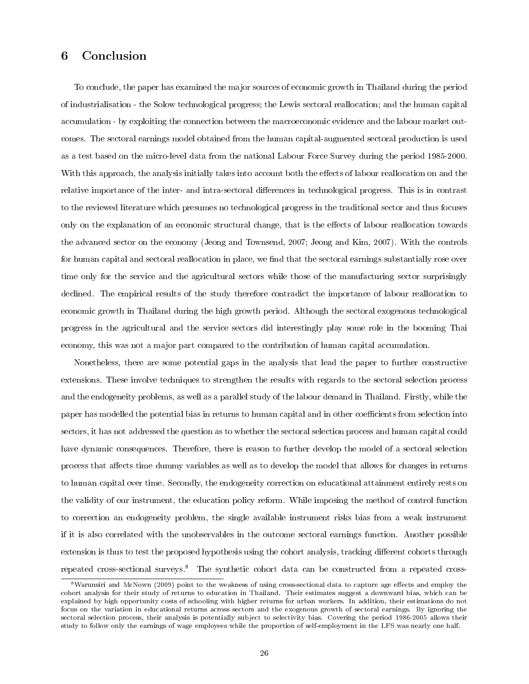#### 6 Conclusion

To conclude, the paper has examined the major sources of economic growth in Thailand during the period of industrialisation - the Solow technological progress; the Lewis sectoral reallocation; and the human capital accumulation - by exploiting the connection between the macroeconomic evidence and the labour market outcomes. The sectoral earnings model obtained from the human capital-augmented sectoral production is used as a test based on the micro-level data from the national Labour Force Survey during the period 1985-2000. With this approach, the analysis initially takes into account both the effects of labour reallocation on and the relative importance of the inter- and intra-sectoral differences in technological progress. This is in contrast to the reviewed literature which presumes no technological progress in the traditional sector and thus focuses only on the explanation of an economic structural change, that is the effects of labour reallocation towards the advanced sector on the economy (Jeong and Townsend, 2007; Jeong and Kim, 2007). With the controls for human capital and sectoral reallocation in place, we find that the sectoral earnings substantially rose over time only for the service and the agricultural sectors while those of the manufacturing sector surprisingly declined. The empirical results of the study therefore contradict the importance of labour reallocation to economic growth in Thailand during the high growth period. Although the sectoral exogenous technological progress in the agricultural and the service sectors did interestingly play some role in the booming Thai economy, this was not a major part compared to the contribution of human capital accumulation.

Nonetheless, there are some potential gaps in the analysis that lead the paper to further constructive extensions. These involve techniques to strengthen the results with regards to the sectoral selection process and the endogeneity problems, as well as a parallel study of the labour demand in Thailand. Firstly, while the paper has modelled the potential bias in returns to human capital and in other coefficients from selection into sectors, it has not addressed the question as to whether the sectoral selection process and human capital could have dynamic consequences. Therefore, there is reason to further develop the model of a sectoral selection process that affects time dummy variables as well as to develop the model that allows for changes in returns to human capital over time. Secondly, the endogeneity correction on educational attainment entirely rests on the validity of our instrument, the education policy reform. While imposing the method of control function to correction an endogeneity problem, the single available instrument risks bias from a weak instrument if it is also correlated with the unobservables in the outcome sectoral earnings function. Another possible extension is thus to test the proposed hypothesis using the cohort analysis, tracking different cohorts through repeated cross-sectional surveys.<sup>8</sup> The synthetic cohort data can be constructed from a repeated cross-

 $8$ Warunsiri and McNown (2009) point to the weakness of using cross-sectional data to capture age effects and employ the cohort analysis for their study of returns to education in Thailand. Their estimates suggest a downward bias, which can be explained by high opportunity costs of schooling with higher returns for urban workers. In addition, their estimations do not focus on the variation in educational returns across sectors and the exogenous growth of sectoral earnings. By ignoring the sectoral selection process, their analysis is potentially subject to selectivity bias. Covering the period 1986-2005 allows their study to follow only the earnings of wage employees while the proportion of self-employment in the LFS was nearly one half.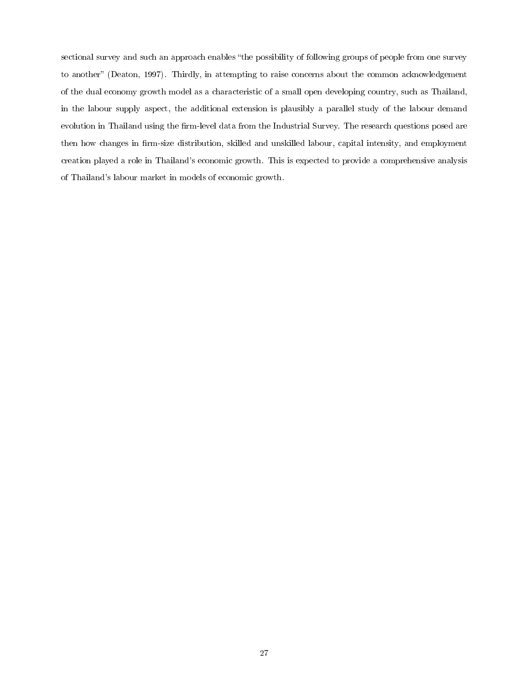sectional survey and such an approach enables "the possibility of following groups of people from one survey to another" (Deaton, 1997). Thirdly, in attempting to raise concerns about the common acknowledgement of the dual economy growth model as a characteristic of a small open developing country, such as Thailand, in the labour supply aspect, the additional extension is plausibly a parallel study of the labour demand evolution in Thailand using the firm-level data from the Industrial Survey. The research questions posed are then how changes in firm-size distribution, skilled and unskilled labour, capital intensity, and employment creation played a role in Thailand's economic growth. This is expected to provide a comprehensive analysis of Thailand's labour market in models of economic growth.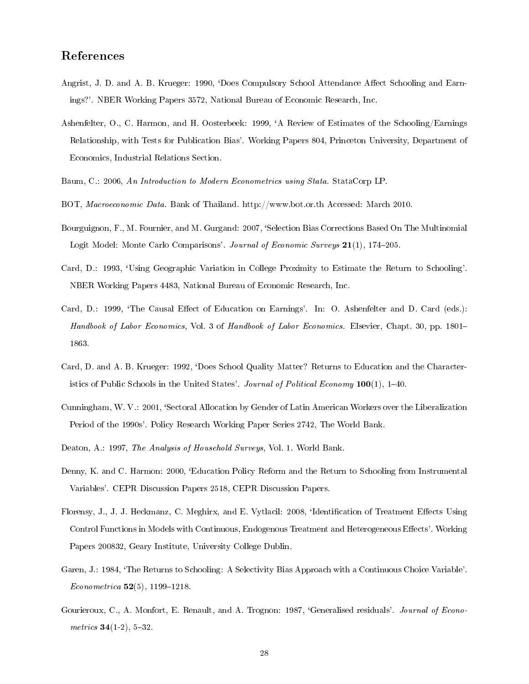#### References

- Angrist, J. D. and A. B. Krueger: 1990, 'Does Compulsory School Attendance Affect Schooling and Earnings?'. NBER Working Papers 3572, National Bureau of Economic Research, Inc.
- Ashenfelter, O., C. Harmon, and H. Oosterbeek: 1999, `A Review of Estimates of the Schooling/Earnings Relationship, with Tests for Publication Bias'. Working Papers 804, Princeton University, Department of Economics, Industrial Relations Section.
- Baum, C.: 2006, An Introduction to Modern Econometrics using Stata. StataCorp LP.
- BOT, Macroeconomic Data. Bank of Thailand. http://www.bot.or.th Accessed: March 2010.
- Bourguignon, F., M. Fournier, and M. Gurgand: 2007, `Selection Bias Corrections Based On The Multinomial Logit Model: Monte Carlo Comparisons'. Journal of Economic Surveys 21(1), 174-205.
- Card, D.: 1993, `Using Geographic Variation in College Proximity to Estimate the Return to Schooling'. NBER Working Papers 4483, National Bureau of Economic Research, Inc.
- Card, D.: 1999, 'The Causal Effect of Education on Earnings'. In: O. Ashenfelter and D. Card (eds.): Handbook of Labor Economics, Vol. 3 of Handbook of Labor Economics. Elsevier, Chapt. 30, pp. 1801– 1863.
- Card, D. and A. B. Krueger: 1992, `Does School Quality Matter? Returns to Education and the Characteristics of Public Schools in the United States'. Journal of Political Economy  $100(1)$ , 1–40.
- Cunningham, W. V.: 2001, `Sectoral Allocation by Gender of Latin American Workers over the Liberalization Period of the 1990s'. Policy Research Working Paper Series 2742, The World Bank.
- Deaton, A.: 1997, The Analysis of Household Surveys, Vol. 1. World Bank.
- Denny, K. and C. Harmon: 2000, 'Education Policy Reform and the Return to Schooling from Instrumental Variables'. CEPR Discussion Papers 2518, CEPR Discussion Papers.
- Florensy, J., J. J. Heckmanz, C. Meghirx, and E. Vytlacil: 2008, 'Identification of Treatment Effects Using Control Functions in Models with Continuous, Endogenous Treatment and Heterogeneous Effects'. Working Papers 200832, Geary Institute, University College Dublin.
- Garen, J.: 1984, `The Returns to Schooling: A Selectivity Bias Approach with a Continuous Choice Variable'. Econometrica  $52(5)$ , 1199-1218.
- Gourieroux, C., A. Monfort, E. Renault, and A. Trognon: 1987, 'Generalised residuals'. Journal of Econometrics  $34(1-2)$ ,  $5-32$ .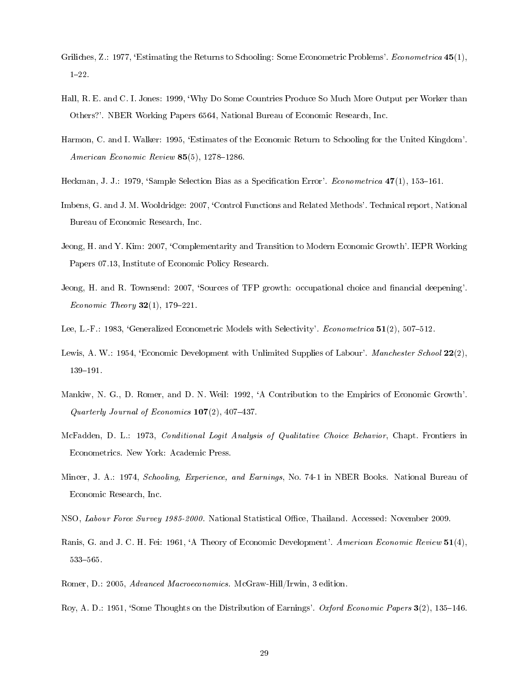- Griliches, Z.: 1977, 'Estimating the Returns to Schooling: Some Econometric Problems'. Econometrica 45(1),  $1 - 22$ .
- Hall, R. E. and C. I. Jones: 1999, `Why Do Some Countries Produce So Much More Output per Worker than Others?'. NBER Working Papers 6564, National Bureau of Economic Research, Inc.
- Harmon, C. and I. Walker: 1995, `Estimates of the Economic Return to Schooling for the United Kingdom'. American Economic Review  $85(5)$ , 1278-1286.
- Heckman, J. J.: 1979, 'Sample Selection Bias as a Specification Error'. Econometrica 47(1), 153–161.
- Imbens, G. and J. M. Wooldridge: 2007, 'Control Functions and Related Methods'. Technical report, National Bureau of Economic Research, Inc.
- Jeong, H. and Y. Kim: 2007, 'Complementarity and Transition to Modern Economic Growth'. IEPR Working Papers 07.13, Institute of Economic Policy Research.
- Jeong, H. and R. Townsend: 2007, 'Sources of TFP growth: occupational choice and financial deepening'. *Economic Theory*  $32(1)$ , 179-221.
- Lee, L.-F.: 1983, 'Generalized Econometric Models with Selectivity'. Econometrica 51(2), 507-512.
- Lewis, A. W.: 1954, 'Economic Development with Unlimited Supplies of Labour'. Manchester School 22(2), 139-191.
- Mankiw, N. G., D. Romer, and D. N. Weil: 1992, 'A Contribution to the Empirics of Economic Growth'. Quarterly Journal of Economics  $107(2)$ ,  $407-437$ .
- McFadden, D. L.: 1973, Conditional Logit Analysis of Qualitative Choice Behavior, Chapt. Frontiers in Econometrics. New York: Academic Press.
- Mincer, J. A.: 1974, Schooling, Experience, and Earnings, No. 74-1 in NBER Books. National Bureau of Economic Research, Inc.
- NSO, Labour Force Survey 1985-2000. National Statistical Office, Thailand. Accessed: November 2009.
- Ranis, G. and J. C. H. Fei: 1961, `A Theory of Economic Development'. American Economic Review 51(4), 533-565.
- Romer, D.: 2005, Advanced Macroeconomics. McGraw-Hill/Irwin, 3 edition.
- Roy, A. D.: 1951, 'Some Thoughts on the Distribution of Earnings'. Oxford Economic Papers 3(2), 135–146.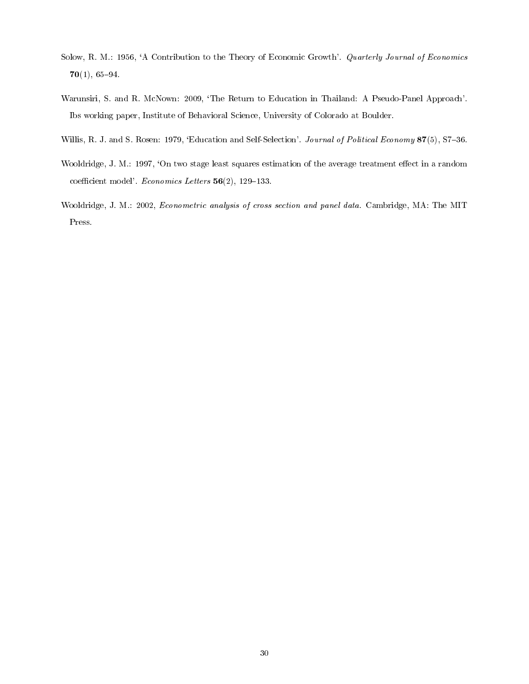- Solow, R. M.: 1956, `A Contribution to the Theory of Economic Growth'. Quarterly Journal of Economics  $70(1), 65-94.$
- Warunsiri, S. and R. McNown: 2009, 'The Return to Education in Thailand: A Pseudo-Panel Approach'. Ibs working paper, Institute of Behavioral Science, University of Colorado at Boulder.
- Willis, R. J. and S. Rosen: 1979, 'Education and Self-Selection'. Journal of Political Economy 87(5), S7-36.
- Wooldridge, J. M.: 1997, 'On two stage least squares estimation of the average treatment effect in a random coefficient model'. Economics Letters  $56(2)$ , 129-133.
- Wooldridge, J. M.: 2002, Econometric analysis of cross section and panel data. Cambridge, MA: The MIT Press.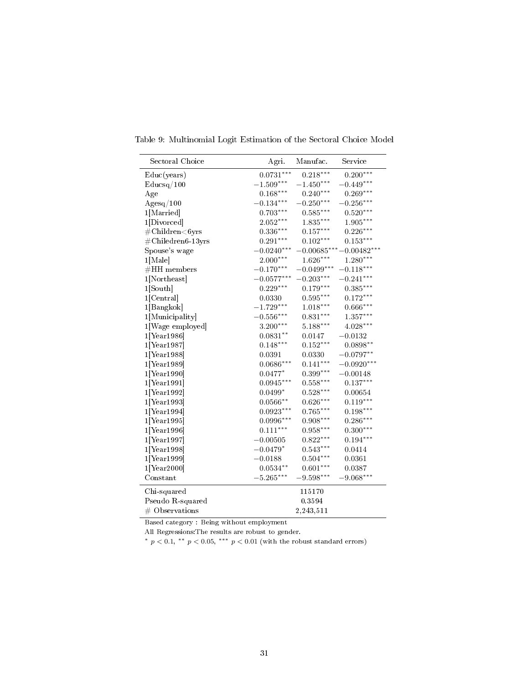| Sectoral Choice                         | Agri.        | Manufac.               | Service                  |
|-----------------------------------------|--------------|------------------------|--------------------------|
| Educ(years)                             | $0.0731***$  | $0.218***$             | $0.200***$               |
| Educsq/100                              | $-1.509***$  | $-1.450***$            | $-0.449***$              |
| Age                                     | $0.168***$   | $0.240***$             | $0.269***$               |
| $\rm{Agesq}/100$                        | $-0.134***$  | $-0.250***$            | $-0.256***$              |
| 1[Married]                              | $0.703***$   | $0.585***$             | $0.520***$               |
| 1[Divorced]                             | $2.052***$   | $1.835***$             | $1.905***$               |
| $\#\text{Children}\text{<6} \text{yrs}$ | $0.336***$   | $0.157***$             | $0.226***$               |
| $\#\text{Chiledren6-13yrs}$             | $0.291***$   | $0.102***$             | $0.153***$               |
| Spouse's wage                           | $-0.0240***$ |                        | $-0.00685***-0.00482***$ |
| $1$ [Male]                              | $2.000***$   | $1.626***$             | $1.280***$               |
| $#HH$ members                           | $-0.170***$  | $-0.0499***$           | $-0.118***$              |
| $1$ [Northeast]                         | $-0.0577***$ | $-0.203***$            | $-0.241***$              |
| $1$ [South]                             | $0.229***$   | $0.179***$             | $0.385***$               |
| $1$ [Central]                           | 0.0330       | $0.595^{\ast\ast\ast}$ | $0.172***$               |
| 1[Bangkok]                              | $-1.729***$  | $1.018***$             | $0.666***$               |
| 1[Municipality]                         | $-0.556***$  | $0.831***$             | $1.357***$               |
| 1[Wage employed]                        | $3.200***$   | $5.188***$             | $4.028***$               |
| $1$ [Year1986]                          | $0.0831**$   | 0.0147                 | $-0.0132$                |
| $1$ [Year1987]                          | $0.148***$   | $0.152***$             | $0.0898***$              |
| $1$ [Year1988]                          | 0.0391       | 0.0330                 | $-0.0797**$              |
| $1$ [Year1989]                          | $0.0686***$  | $0.141***$             | $-0.0920***$             |
| $1$ [Year1990]                          | $0.0477*$    | $0.399***$             | $-0.00148$               |
| $1$ [Year1991]                          | $0.0945***$  | $0.558***$             | $0.137***$               |
| $1$ [Year1992]                          | $0.0499*$    | $0.528***$             | 0.00654                  |
| $1$ [Year1993]                          | $0.0566**$   | $0.626***$             | $0.119***$               |
| $1$ [Year1994]                          | $0.0923***$  | $0.765***$             | $0.198***$               |
| $1$ [Year1995]                          | $0.0996***$  | $0.908***$             | $0.286***$               |
| $1$ [Year1996]                          | $0.111***$   | $0.958***$             | $0.300***$               |
| $1$ [Year1997]                          | $-0.00505$   | $0.822***$             | $0.194***$               |
| $1$ [Year1998]                          | $-0.0479*$   | $0.543***$             | 0.0414                   |
| $1$ [Year1999]                          | $-0.0188$    | $0.504***$             | 0.0361                   |
| $1$ [Year2000]                          | $0.0534**$   | $0.601***$             | 0.0387                   |
| Constant                                | $-5.265***$  | $-9.598***$            | $-9.068***$              |
| $Chi$ -squared                          |              | 115170                 |                          |
| Pseudo R-squared                        |              | 0.3594                 |                          |
| $\#$ Observations                       |              | 2,243,511              |                          |

Table 9: Multinomial Logit Estimation of the Sectoral Choice Model

Based category : Being without employment

All Regressions:The results are robust to gender.

\*  $p < 0.1$ , \*\*  $p < 0.05$ , \*\*\*  $p < 0.01$  (with the robust standard errors)